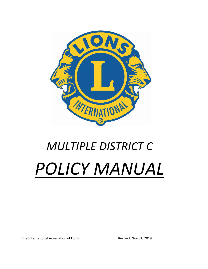

# *MULTIPLE DISTRICT C POLICY MANUAL*

The International Association of Lions Revised: Nov 01, 2019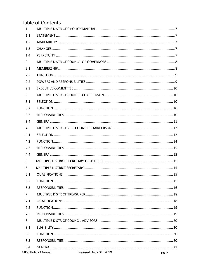# **Table of Contents**

| 1.             |     |                                                   |       |
|----------------|-----|---------------------------------------------------|-------|
|                | 1.1 |                                                   |       |
|                | 1.2 |                                                   |       |
| 1.3            |     |                                                   |       |
|                | 1.4 |                                                   |       |
| $\overline{2}$ |     |                                                   |       |
| 2.1            |     |                                                   |       |
|                | 2.2 |                                                   |       |
|                | 2.2 |                                                   |       |
| 2.3            |     |                                                   |       |
| 3              |     |                                                   |       |
| 3.1            |     |                                                   |       |
|                | 3.2 |                                                   |       |
| 3.3            |     |                                                   |       |
| 3.4            |     |                                                   |       |
| $\overline{4}$ |     |                                                   |       |
| 4.1            |     |                                                   |       |
| 4.2            |     |                                                   |       |
| 4.3            |     |                                                   |       |
| 4.4            |     |                                                   |       |
| 5              |     |                                                   |       |
| 6              |     |                                                   |       |
| 6.1            |     |                                                   |       |
| 6.2            |     |                                                   |       |
| 6.3            |     |                                                   |       |
| $\overline{7}$ |     |                                                   |       |
| 7.1            |     |                                                   |       |
| 7.2            |     |                                                   |       |
| 7.3            |     |                                                   |       |
| 8              |     |                                                   |       |
| 8.1            |     |                                                   |       |
| 8.2            |     |                                                   |       |
| 8.3            |     |                                                   |       |
| 8.4            |     |                                                   |       |
|                |     | Revised: Nov 01, 2019<br><b>MDC Policy Manual</b> | pg. 2 |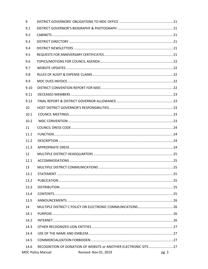| 9    |                                                                  |       |
|------|------------------------------------------------------------------|-------|
| 9.1  |                                                                  |       |
| 9.2  |                                                                  |       |
| 9.3  |                                                                  |       |
| 9.4  |                                                                  |       |
| 9.5  |                                                                  |       |
| 9.6  |                                                                  |       |
| 9.7  |                                                                  |       |
| 9.8  |                                                                  |       |
| 9.9  |                                                                  |       |
| 9.10 |                                                                  |       |
| 9.11 |                                                                  |       |
| 9.12 |                                                                  |       |
| 10   |                                                                  |       |
| 10.1 |                                                                  |       |
| 10.2 |                                                                  |       |
| 11   |                                                                  |       |
| 11.1 |                                                                  |       |
| 11.2 |                                                                  |       |
| 11.3 |                                                                  |       |
| 12   |                                                                  |       |
| 12.1 |                                                                  |       |
| 13   |                                                                  |       |
| 13.1 |                                                                  |       |
| 13.2 |                                                                  |       |
| 13.3 |                                                                  |       |
| 13.4 |                                                                  |       |
| 13.5 |                                                                  |       |
| 14   |                                                                  |       |
| 14.1 |                                                                  |       |
| 14.2 |                                                                  |       |
| 14.3 |                                                                  |       |
| 14.4 |                                                                  |       |
| 14.5 |                                                                  |       |
| 14.6 | RECOGNITION OF DONATION OF WEBSITE or ANOTHER ELECTRONIC SITE 27 |       |
|      | <b>MDC Policy Manual</b><br>Revised: Nov 01, 2019                | pg. 3 |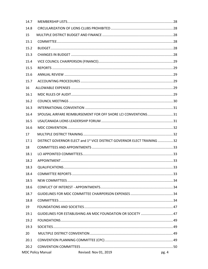| 14.7 |                                                                                      |       |
|------|--------------------------------------------------------------------------------------|-------|
| 14.8 |                                                                                      |       |
| 15   |                                                                                      |       |
| 15.1 |                                                                                      |       |
| 15.2 |                                                                                      |       |
| 15.3 |                                                                                      |       |
| 15.4 |                                                                                      |       |
| 15.5 |                                                                                      |       |
| 15.6 |                                                                                      |       |
| 15.7 |                                                                                      |       |
| 16   |                                                                                      |       |
| 16.1 |                                                                                      |       |
| 16.2 |                                                                                      |       |
| 16.3 |                                                                                      |       |
| 16.4 | SPOUSAL AIRFARE REIMBURSEMENT FOR OFF SHORE LCI CONVENTIONS 31                       |       |
| 16.5 |                                                                                      |       |
| 16.6 |                                                                                      |       |
| 17   |                                                                                      |       |
| 17.1 | DISTRICT GOVERNOR ELECT and 1 <sup>st</sup> VICE DISTRICT GOVERNOR ELECT TRAINING 32 |       |
| 18   |                                                                                      |       |
| 18.1 |                                                                                      |       |
| 18.2 |                                                                                      |       |
| 18.3 |                                                                                      |       |
| 18.4 |                                                                                      |       |
| 18.5 |                                                                                      |       |
| 18.6 |                                                                                      |       |
| 18.7 |                                                                                      |       |
| 18.8 |                                                                                      |       |
| 19   |                                                                                      |       |
| 19.1 | GUIDELINES FOR ESTABLISHING AN MDC FOUNDATION OR SOCIETY  47                         |       |
| 19.2 |                                                                                      |       |
| 19.3 |                                                                                      |       |
| 20   |                                                                                      |       |
| 20.1 |                                                                                      |       |
| 20.2 |                                                                                      |       |
|      | <b>MDC Policy Manual</b><br>Revised: Nov 01, 2019                                    | pg. 4 |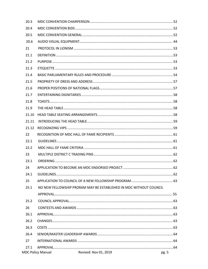| 20.3  |                                                                    |       |
|-------|--------------------------------------------------------------------|-------|
| 20.4  |                                                                    |       |
| 20.5  |                                                                    |       |
| 20.6  |                                                                    |       |
| 21    |                                                                    |       |
| 21.1  |                                                                    |       |
| 21.2  |                                                                    |       |
| 21.3  |                                                                    |       |
| 21.4  |                                                                    |       |
| 21.5  |                                                                    |       |
| 21.6  |                                                                    |       |
| 21.7  |                                                                    |       |
| 21.8  |                                                                    |       |
| 21.9  |                                                                    |       |
| 21.10 |                                                                    |       |
| 21.11 |                                                                    |       |
| 21.12 |                                                                    |       |
| 22    |                                                                    |       |
| 22.1  |                                                                    |       |
| 22.2  |                                                                    |       |
| 23    |                                                                    |       |
| 23.1  |                                                                    |       |
| 24    |                                                                    |       |
| 24.1  |                                                                    |       |
| 25    |                                                                    |       |
| 25.1  | NO NEW FELLOWSHIP PRORAM MAY BE ESTABLISHED IN MDC WITHOUT COUNCIL |       |
|       |                                                                    |       |
| 25.2  |                                                                    |       |
| 26    |                                                                    |       |
| 26.1  |                                                                    |       |
| 26.2  |                                                                    |       |
| 26.3  |                                                                    |       |
| 26.4  |                                                                    |       |
| 27    |                                                                    |       |
| 27.1  |                                                                    |       |
|       | Revised: Nov 01, 2019<br><b>MDC Policy Manual</b>                  | pg. 5 |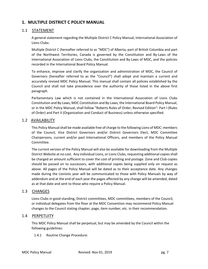# **1. MULTIPLE DISTRICT C POLICY MANUAL**

# 1.1 STATEMENT

A general statement regarding the Multiple District C Policy Manual, International Association of Lions Clubs:

Multiple District C (hereafter referred to as "MDC") of Alberta, part of British Columbia and part of the Northwest Territories, Canada is governed by the Constitution and By-Laws of the International Association of Lions Clubs, the Constitution and By-Laws of MDC, and the policies recorded in the International Board Policy Manual.

To enhance, improve and clarify the organization and administration of MDC, the Council of Governors (hereafter referred to as the "Council") shall adopt and maintain a current and accurately revised MDC Policy Manual. This manual shall contain all policies established by the Council and shall not take precedence over the authority of those listed in the above first paragraph.

Parliamentary Law which is not contained in the International Association of Lions Clubs Constitution and By-Laws, MDC Constitution and By-Laws, the International Board Policy Manual, or in the MDC Policy Manual, shall follow "Roberts Rules of Order, Revised Edition": Part I (Rules of Order) and Part II (Organization and Conduct of Business) unless otherwise specified.

# 1.2 AVAILABILITY

This Policy Manual shall be made available free of charge to the following Lions of MDC: members of the Council, Vice District Governors and/or District Governors Elect, MDC Committee Chairpersons, current and/or past International Officers, and members of the Policy Manual Committee.

The current version of the Policy Manual will also be available for downloading from the Multiple District Website at no cost. Any individual Lions, or Lions Clubs, requesting additional copies shall be charged an amount sufficient to cover the cost of printing and postage. Zone and Club copies should be passed on to successors, with additional copies being supplied only on request as above. All pages of the Policy Manual will be dated as to their acceptance date. Any changes made during the Lionistic year will be communicated to those with Policy Manuals by way of addendum and at the end of each year the pages affected by any change will be amended, dated as at that date and sent to those who require a Policy Manual.

## 1.3 CHANGES

Lions Clubs in good standing, District committees, MDC committees, members of the Council, or individual delegates from the floor at the MDC Convention may recommend Policy Manual changes to the Council stating chapter, page, item number, etc. in their recommendation.

# 1.4 PERPETUITY

This MDC Policy Manual shall be perpetual, but may be amended by the Council within the following guidelines:

## 1.4.1 Routine Change Procedure: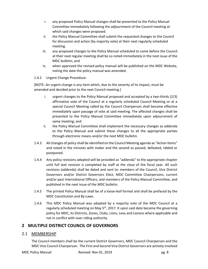- i. any proposed Policy Manual changes shall be presented to the Policy Manual Committee immediately following the adjournment of the Council meeting at which said changes were proposed.
- ii. the Policy Manual Committee shall submit the requested changes to the Council for discussion and action (by majority vote) at their next regularly scheduled meeting.
- iii. any proposed changes to the Policy Manual scheduled to come before the Council at their next regular meeting shall be so noted immediately in the next issue of the MDC bulletin, and
- iv. when approved the revised policy manual will be published on the MDC Website, noting the date the policy manual was amended.

# 1.4.2 Urgent Change Procedure:

[NOTE: An urgent change is any item which, due to the severity of its impact, must be amended and decided prior to the next Council meeting.]

- i. urgent changes to the Policy Manual proposed and accepted by a two-thirds (2/3) affirmative vote of the Council at a regularly scheduled Council Meeting or at a special Council Meeting called by the Council Chairperson shall become effective immediately upon passage of vote at said meeting. The affected changes shall be presented to the Policy Manual Committee immediately upon adjournment of same meeting; and
- ii. the Policy Manual Committee shall implement the necessary changes as addenda to the Policy Manual and submit these changes to all the appropriate parties through electronic means and/or the next MDC bulletin.
- 1.4.3 All changes of policy shall be identified on the Council Meeting agenda as "Action Items" and noted in the minutes with maker and the second as passed, defeated, tabled or postponed.
- 1.4.4 Any policy revisions adopted will be provided as "addenda" to the appropriate chapter until full text revision is completed by staff at the close of the fiscal year. All such revisions (addenda) shall be dated and sent to: members of the Council, Vice District Governors and/or District Governors Elect, MDC Committee Chairpersons, current and/or past International Officers, and members of the Policy Manual Committee, and published in the next issue of the MDC bulletin.
- 1.4.5 The printed Policy Manual shall be of a loose-leaf format and shall be prefaced by the MDC Constitution and By-Laws.
- 1.4.6 This MDC Policy Manual was adopted by a majority vote of the MDC Council at a regularly scheduled meeting on May  $5<sup>th</sup>$ , 2017. It upon said date became the governing policy for MDC, its Districts, Zones, Clubs, Lions, Leos and Lioness where applicable and not in conflict with over-riding authority.

# **2 MULTIPLE DISTRICT COUNCIL OF GOVERNORS**

# 2.1 MEMBERSHIP

The Council members shall be the current District Governors, MDC Council Chairperson and the MDC Vice Council Chairperson. The First and Second Vice District Governors are actively involved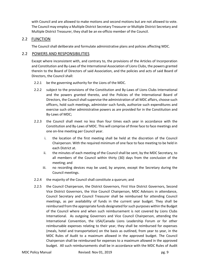with Council and are allowed to make motions and second motions but are not allowed to vote. The Council may employ a Multiple District Secretary Treasurer or Multiple District Secretary and Multiple District Treasurer, they shall be an ex-officio member of the Council.

# 2.2 FUNCTION

The Council shall deliberate and formulate administrative plans and policies affecting MDC.

# 2.2 POWERS AND RESPONSIBILITIES

Except where inconsistent with, and contrary to, the provisions of the Articles of Incorporation and Constitution and By-Laws of the International Association of Lions Clubs, the powers granted therein to the Board of Directors of said Association, and the policies and acts of said Board of Directors, the Council shall:

- 2.2.1 be the governing authority for the Lions of the MDC.
- 2.2.2 subject to the provisions of the Constitution and By-Laws of Lions Clubs International and the powers granted thereto, and the Policies of the International Board of Directors, the Council shall supervise the administration of all MDC affairs, choose such officers, hold such meetings, administer such funds, authorize such expenditures and exercise such other administrative powers as are provided for in the Constitution and By-Laws of MDC;
- 2.2.3 the Council shall meet no less than four times each year in accordance with the Constitution and By-Laws of MDC. This will comprise of three face to face meetings and one on-line meeting per Council year.
	- i. the location of the first meeting shall be held at the discretion of the Council Chairperson. With the required minimum of one face to face meeting to be held in each District at.
	- ii. the minutes of each meeting of the Council shall be sent, by the MDC Secretary, to all members of the Council within thirty (30) days from the conclusion of the meeting; and
	- iii. no recording devices may be used, by anyone, except the Secretary during the Council meetings.
- 2.2.4 the majority of the Council shall constitute a quorum; and
- 2.2.5 the Council Chairperson, the District Governors, First Vice District Governors, Second Vice District Governors, the Vice Council Chairperson, MDC Advisors in attendance, Council Secretary and Council Treasurer shall be reimbursed for attending Council meetings, as per availability of funds in the current year budget. They shall be reimbursed from the appropriate funds designated for such purposes within the Budget of the Council where and when such reimbursement is not covered by Lions Clubs International. As outgoing Governors and Vice Council Chairperson, attending the International Convention, the USA/Canada Lions Leadership Forum or for other reimbursable expenses relating to their year, they shall be reimbursed for expenses (meals, hotel and transportation) on the basis as outlined, from year to year, in the MDC Rules of Audit to a maximum allowed in the approved budget. The Council Chairperson shall be reimbursed for expenses to a maximum allowed in the approved budget. All such reimbursements shall be in accordance with the MDC Rules of Audit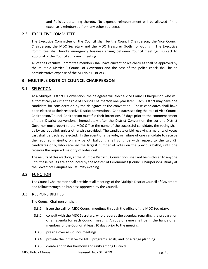and Policies pertaining thereto. No expense reimbursement will be allowed if the expense is reimbursed from any other source(s).

# 2.3 EXECUTIVE COMMITTEE

The Executive Committee of the Council shall be the Council Chairperson, the Vice Council Chairperson, the MDC Secretary and the MDC Treasurer (both non-voting). The Executive Committee shall handle emergency business arising between Council meetings, subject to approval of the Council at its next meeting.

All of the Executive Committee members shall have current police check as shall be approved by the Multiple District C Council of Governors and the cost of the police check shall be an administrative expense of the Multiple District C.

# **3 MULTIPLE DISTRICT COUNCIL CHAIRPERSON**

# 3.1 SELECTION

At a Multiple District C Convention, the delegates will elect a Vice Council Chairperson who will automatically assume the role of Council Chairperson one year later. Each District may have one candidate for consideration by the delegates at the convention. These candidates shall have been elected at their respective District conventions. Candidates seeking the role of Vice Council Chairperson/Council Chairperson must file their intentions 45 days prior to the commencement of their District convention. Immediately after the District Convention the current District Governor must report to the MDC Office the name of the successful candidate, the voting shall be by secret ballot, unless otherwise provided. The candidate or bid receiving a majority of votes cast shall be declared elected. In the event of a tie vote, or failure of one candidate to receive the required majority, on any ballot, balloting shall continue with respect to the two (2) candidates only, who received the largest number of votes on the previous ballot, until one receives the required majority of votes cast.

The results of this election, at the Multiple District C Convention, shall not be disclosed to anyone until these results are announced by the Master of Ceremonies (Council Chairperson) usually at the Governors Banquet on Saturday evening.

# 3.2 FUNCTION

The Council Chairperson shall preside at all meetings of the Multiple District Council of Governors and follow through on business approved by the Council.

# 3.3 RESPONSIBILITIES

The Council Chairperson shall:

- 3.3.1 issue the call for MDC Council meetings through the office of the MDC Secretary.
- 3.3.2 consult with the MDC Secretary, who prepares the agendas, regarding the preparation of an agenda for each Council meeting. A copy of same shall be in the hands of all members of the Council at least 10 days prior to the meeting.
- 3.3.3 preside over all Council meetings.
- 3.3.4 provide the initiative for MDC programs, goals, and long-range planning.
- 3.3.5 create and foster harmony and unity among Districts.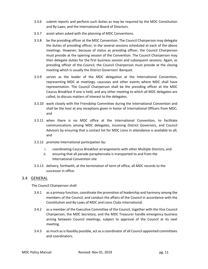- 3.3.6 submit reports and perform such duties as may be required by the MDC Constitution and By-Laws, and the International Board of Directors.
- 3.3.7 assist when asked with the planning of MDC Conventions.
- 3.3.8 be the presiding officer at the MDC Convention. The Council Chairperson may delegate the duties of presiding officer, in the several sessions scheduled at each of the above meetings. However, because of status as presiding officer, the Council Chairperson must preside at the opening session of the Convention. The Council Chairperson may then delegate duties for the first business session and subsequent sessions. Again, as presiding officer of the Council, the Council Chairperson must preside at the closing meeting which is usually the District Governors' Banquet.
- 3.3.9 serves as the leader of the MDC delegation at the International Convention, representing MDC at meetings, caucuses and other events where MDC shall have representation. The Council Chairperson shall be the presiding officer at the MDC Caucus Breakfast if one is held, and any other meeting to which all MDC delegates are called, to discuss matters of interest to the delegates.
- 3.3.10 work closely with the Friendship Committee during the International Convention and shall be the host at any receptions given in honor of International Officers from MDC; and
- 3.3.11 when there is no MDC office at the International Convention, to facilitate communications among MDC delegates, incoming District Governors, and Council Advisors by ensuring that a contact list for MDC Lions in attendance is available to all; and
- 3.3.12 promote International participation by:
	- i. coordinating Caucus Breakfast arrangements with other Multiple Districts; and
	- ii. ensuring that all parade paraphernalia is transported to and from the International Convention site
- 3.3.13 delivery, forthwith, at the termination of term of office, all MDC records to the successor in office.

# 3.4 GENERAL

The Council Chairperson shall:

- 3.4.1 as a primary function, coordinate the promotion of leadership and harmony among the members of the Council, and conduct the affairs of the Council in accordance with the Constitution and By-Laws of MDC and Lions Clubs International.
- 3.4.2 as a member of the Executive Committee of the Council, together with the Vice Council Chairperson, the MDC Secretary, and the MDC Treasurer handle emergency business arising between Council meetings, subject to approval of the Council at its next meeting.
- 3.4.3 as much as is feasibly possible, act as a coordinator of all Council appointed committees and coordinators.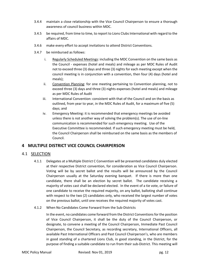- 3.4.4 maintain a close relationship with the Vice Council Chairperson to ensure a thorough awareness of council business within MDC.
- 3.4.5 be required, from time to time, to report to Lions Clubs International with regard to the affairs of MDC.
- 3.4.6 make every effort to accept invitations to attend District Conventions.
- 3.4.7 be reimbursed as follows:
	- i. Regularly Scheduled Meetings: including the MDC Convention on the same basis as the Council - expenses (hotel and meals) and mileage as per MDC Rules of Audit not to exceed three (3) days and three (3) nights for each meeting except when the council meeting is in conjunction with a convention, then four (4) days (hotel and meals);
	- ii. Convention Planning: for one meeting pertaining to Convention planning, not to exceed three (3) days and three (3) nights expenses (hotel and meals) and mileage as per MDC Rules of Audit
	- iii. International Convention: consistent with that of the Council and on the basis as outlined, from year to year, in the MDC Rules of Audit, for a maximum of five (5) days; and
	- iv. Emergency Meeting: it is recommended that emergency meetings be avoided unless there is not another way of solving the problem(s). The use of on-line communication is recommended for such emergency meeting. Use of the Executive Committee is recommended. If such emergency meeting must be held, the Council Chairperson shall be reimbursed on the same basis as the members of Council.

# **4 MULTIPLE DISTRICT VICE COUNCIL CHAIRPERSON**

# 4.1 SELECTION

- 4.1.1 Delegates at a Multiple District C Convention will be presented candidates duly elected at their respective District convention, for consideration as Vice Council Chairperson. Voting will be by secret ballot and the results will be announced by the Council Chairperson usually at the Saturday evening banquet. If there is more than one candidate, there shall be an election by secret ballot. The candidate receiving a majority of votes cast shall be declared elected. In the event of a tie vote, or failure of one candidate to receive the required majority, on any ballot, balloting shall continue with respect to the two (2) candidates only, who received the largest number of votes on the previous ballot, until one receives the required majority of votes cast.
- 4.1.2 When No Candidates Come Forward from the Sub-Districts

In the event, no candidates come forward from the District Conventions for the position of Vice Council Chairperson, it shall be the duty of the Council Chairperson, or designate, to convene a meeting of the Council Chairperson, Immediate Past Council Chairperson, the Council Secretary, as recording secretary, International Officers, all available Past International Officers and Past Council Chairperson's, who are members in good standing of a chartered Lions Club, in good standing, in the District, for the purpose of finding a suitable candidate to run from their sub-District. This meeting will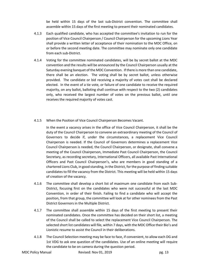be held within 15 days of the last sub-District convention. The committee shall assemble within 15 days of the first meeting to present their nominated candidates.

- 4.1.3 Each qualified candidate, who has accepted the committee's invitation to run for the position of Vice Council Chairperson / Council Chairperson for the upcoming Lions Year shall provide a written letter of acceptance of their nomination to the MDC Office, on or before the second meeting date. The committee may nominate only one candidate from each sub-District.
- 4.1.4 Voting for the committee nominated candidates, will be by secret ballot at the MDC convention and the results will be announced by the Council Chairperson usually at the Saturday evening banquet of the MDC Convention. If there is more than one candidate, there shall be an election. The voting shall be by secret ballot, unless otherwise provided. The candidate or bid receiving a majority of votes cast shall be declared elected. In the event of a tie vote, or failure of one candidate to receive the required majority, on any ballot, balloting shall continue with respect to the two (2) candidates only, who received the largest number of votes on the previous ballot, until one receives the required majority of votes cast.
- 4.1.5 When the Position of Vice Council Chairperson Becomes Vacant.

In the event a vacancy arises in the office of Vice Council Chairperson, it shall be the duty of the Council Chairperson to convene an extraordinary meeting of the Council of Governors to decide if, under the circumstances, a replacement Vice Council Chairperson is needed. If the Council of Governors determines a replacement Vice Council Chairperson is needed, the Council Chairperson, or designate, shall convene a meeting of the Council Chairperson, Immediate Past Council Chairperson, the Council Secretary, as recording secretary, International Officers, all available Past International Officers and Past Council Chairperson's, who are members in good standing of a chartered Lions Club, in good standing, in the District, for the purpose of finding suitable candidates to fill the vacancy from the District. This meeting will be held within 15 days of creation of the vacancy.

- 4.1.6 The committee shall develop a short list of maximum one candidate from each Sub-District, focusing first on the candidates who were not successful at the last MDC Convention, in order of their finish. Failing to find a candidate who will accept the position, from that group, the committee will look at for other nominees from the Past District Governors in the Multiple District.
- 4.1.7 The committee shall assemble within 15 days of the first meeting to present their nominated candidates. Once the committee has decided on their short list, a meeting of the Council shall be called to select the replacement Vice Council Chairperson. The selected short list candidates will file, within 7 days, with the MDC Office their Bio's and Lionistic resume to assist the Council in their deliberations.
- 4.1.8 The Council Selection meeting may be face to face, if convenient, to allow each DG and 1st VDG to ask one question of the candidates. Use of an online meeting will require the candidate to be on camera during the question period.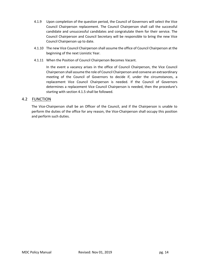- 4.1.9 Upon completion of the question period, the Council of Governors will select the Vice Council Chairperson replacement. The Council Chairperson shall call the successful candidate and unsuccessful candidates and congratulate them for their service. The Council Chairperson and Council Secretary will be responsible to bring the new Vice Council Chairperson up to date.
- 4.1.10 The new Vice Council Chairperson shall assume the office of Council Chairperson at the beginning of the next Lionistic Year.
- 4.1.11 When the Position of Council Chairperson Becomes Vacant.

In the event a vacancy arises in the office of Council Chairperson, the Vice Council Chairperson shall assume the role of Council Chairperson and convene an extraordinary meeting of the Council of Governors to decide if, under the circumstances, a replacement Vice Council Chairperson is needed. If the Council of Governors determines a replacement Vice Council Chairperson is needed, then the procedure's starting with section 4.1.5 shall be followed.

# 4.2 FUNCTION

The Vice-Chairperson shall be an Officer of the Council, and if the Chairperson is unable to perform the duties of the office for any reason, the Vice-Chairperson shall occupy this position and perform such duties.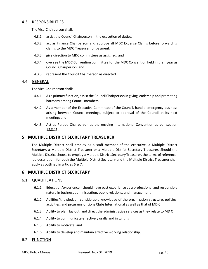## 4.3 RESPONSIBILITIES

The Vice-Chairperson shall:

- 4.3.1 assist the Council Chairperson in the execution of duties.
- 4.3.2 act as Finance Chairperson and approve all MDC Expense Claims before forwarding claims to the MDC Treasurer for payment.
- 4.3.3 give direction to MDC committees as assigned; and
- 4.3.4 oversee the MDC Convention committee for the MDC Convention held in their year as Council Chairperson: and
- 4.3.5 represent the Council Chairperson as directed.

## 4.4 GENERAL

The Vice-Chairperson shall:

- 4.4.1 As a primary function, assist the Council Chairperson in giving leadership and promoting harmony among Council members.
- 4.4.2 As a member of the Executive Committee of the Council, handle emergency business arising between Council meetings, subject to approval of the Council at its next meeting; and
- 4.4.3 Act as Parade Chairperson at the ensuing International Convention as per section 18.8.15.

# **5 MULTIPLE DISTRICT SECRETARY TREASURER**

The Multiple District shall employ as a staff member of the executive, a Multiple District Secretary, a Multiple District Treasurer or a Multiple District Secretary Treasurer. Should the Multiple District choose to employ a Multiple District Secretary Treasurer, the terms of reference, job description, for both the Multiple District Secretary and the Multiple District Treasurer shall apply as outlined in articles 6 & 7.

# **6 MULTIPLE DISTRICT SECRETARY**

# 6.1 QUALIFICATIONS

- 6.1.1 Education/experience should have past experience as a professional and responsible nature in business administration, public relations, and management.
- 6.1.2 Abilities/knowledge considerable knowledge of the organization structure, policies, activities, and programs of Lions Clubs International as well as that of MD C
- 6.1.3 Ability to plan, lay out, and direct the administrative services as they relate to MD C
- 6.1.4 Ability to communicate effectively orally and in writing
- 6.1.5 Ability to motivate; and
- 6.1.6 Ability to develop and maintain effective working relationship.

## 6.2 FUNCTION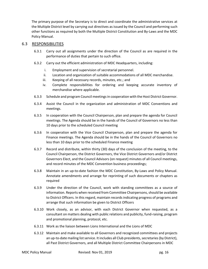The primary purpose of the Secretary is to direct and coordinate the administrative services at the Multiple District level by carrying out directives as issued by the Council and performing such other functions as required by both the Multiple District Constitution and By-Laws and the MDC Policy Manual.

## 6.3 RESPONSIBILITIES

- 6.3.1 Carry out all assignments under the direction of the Council as are required in the performance of duties that pertain to such office.
- 6.3.2 Carry out the efficient administration of MDC Headquarters, including:
	- i. Employment and supervision of secretarial personnel.
	- ii. Location and organization of suitable accommodations of all MDC merchandise.
	- iii. Keeping of all necessary records, minutes, etc.; and
	- iv. Complete responsibilities for ordering and keeping accurate inventory of merchandise where applicable.
- 6.3.3 Schedule and program Council meetings in cooperation with the Host District Governor.
- 6.3.4 Assist the Council in the organization and administration of MDC Conventions and meetings.
- 6.3.5 In cooperation with the Council Chairperson, plan and prepare the agenda for Council meetings. The Agenda should be in the hands of the Council of Governors no less than 10 days prior to the scheduled Council meeting
- 6.3.6 In cooperation with the Vice Council Chairperson, plan and prepare the agenda for Finance meetings. The Agenda should be in the hands of the Council of Governors no less than 10 days prior to the scheduled Finance meeting
- 6.3.7 Record and distribute, within thirty (30) days of the conclusion of the meeting, to the Council Chairperson, the District Governors, the Vice District Governors and/or District Governors Elect, and the Council Advisors (on request) minutes of all Council meetings, and record minutes of the MDC Convention business proceedings;
- 6.3.8 Maintain in an up-to-date fashion the MDC Constitution, By-Laws and Policy Manual. Annotate amendments and arrange for reprinting of such documents or chapters as required
- 6.3.9 Under the direction of the Council, work with standing committees as a source of information. Reports when received from Committee Chairpersons, should be available to District Officers. In this regard, maintain records indicating progress of programs and arrange that such information be given to District Officers
- 6.3.10 Work closely, as an advisor, with each District Governor when requested, as a consultant on matters dealing with public relations and publicity, fund-raising, program and promotional planning, protocol, etc.
- 6.3.11 Work as the liaison between Lions International and the Lions of MDC
- 6.3.12 Maintain and make available to all Governors and recognized committees and projects an up-to-date mailing list service. It includes all Club presidents, secretaries (by District), all Past District Governors, and all Multiple District Committee Chairpersons in MDC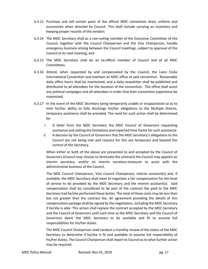- 6.3.13 Purchase and sell certain parts of the official MDC convention dress uniform and accessories when directed by Council. This shall include carrying an inventory and keeping proper records of the vendors
- 6.3.14 The MDC Secretary shall as a non-voting member of the Executive Committee of the Council, together with the Council Chairperson and the Vice Chairperson, handle emergency business arising between the Council meetings, subject to approval of the Council at its next meeting; and
- 6.3.15 The MDC Secretary shall be an ex-officio member of Council and of all MDC Committees.
- 6.3.16 Attend, when requested by and compensated by the Council, the Lions Clubs International Convention and maintain an MDC office at said convention. Reasonable daily office hours shall be maintained, and a daily newsletter shall be published and distributed to all attendees for the duration of the convention. The office shall assist any political campaigns and all attendees in order that their convention experience be maximized.
- 6.3.17 In the event of the MDC Secretary being temporarily unable or incapacitated so as to limit his/her ability to fully discharge his/her obligations to the Multiple District, temporary assistance shall be provided. The need for such action shall be determined by:
	- i. A letter from the MDC Secretary the MDC Council of Governors requesting assistance and stating the limitations and expected time frame for such assistance.
	- ii. A decision by the Council of Governors that the MDC Secretary's obligations to the Council are not being met and reasons for this are temporary and beyond the control of the Secretary.

When either or both of the above are presented to and accepted by the Council of Governors (Council may choose to terminate the contract) the Council may appoint an interim secretary, and/or an interim secretary-treasurer to assist with the administrative business of the Council.

The MDC Council Chairperson, Vice Council Chairperson, interim assistant(s) and, if available, the MDC Secretary shall meet to negotiate a fair compensation for the level of service to be provided by the MDC Secretary and the interim assistant(s). Said compensation shall be considered to be part of the contract fee paid to the MDC Secretary had he/she performed these duties. The total of these costs may be less than but not greater than the contract fee. An agreement providing the details of this compensation package shall be signed by the negotiators, including the MDC Secretary if he/she is able. This action shall replace the contract accepted by the MDC Secretary and the Council of Governors until such time as the MDC Secretary and the Council of Governors deem the MDC Secretary to be available and fit to assume full responsibilities for his/her duties.

The MDC Council Chairperson shall conduct a monthly review of the status of the MDC Secretary to determine if he/she is fit and available to assume full responsibility of his/her duties. The Council Chairperson shall report to Council as to what further action may be required.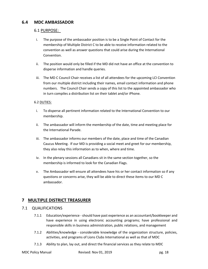# **6.4 MDC AMBASSADOR**

# 6.1 PURPOSE:

- i. The purpose of the ambassador position is to be a Single Point of Contact for the membership of Multiple District C to be able to receive information related to the convention as well as answer questions that could arise during the International Convention.
- ii. The position would only be filled if the MD did not have an office at the convention to disperse information and handle queries.
- iii. The MD C Council Chair receives a list of all attendees for the upcoming LCI Convention from our multiple district including their names, email contact information and phone numbers. The Council Chair sends a copy of this list to the appointed ambassador who in turn compiles a distribution list on their tablet and/or iPhone.

## 6.2 DUTIES:

- i. To disperse all pertinent information related to the International Convention to our membership.
- ii. The ambassador will inform the membership of the date, time and meeting place for the International Parade.
- iii. The ambassador informs our members of the date, place and time of the Canadian Caucus Meeting. If our MD is providing a social meet and greet for our membership, they also relay this information as to when, where and time.
- iv. In the plenary sessions all Canadians sit in the same section together, so the membership is informed to look for the Canadian Flags.
- v. The Ambassador will ensure all attendees have his or her contact information so if any questions or concerns arise, they will be able to direct these items to our MD C ambassador.

# **7 MULTIPLE DISTRICT TREASURER**

# 7.1 QUALIFICATIONS

- 7.1.1 Education/experience -should have past experience as an accountant/bookkeeper and have experience in using electronic accounting programs; have professional and responsible skills in business administration, public relations, and management
- 7.1.2 Abilities/knowledge considerable knowledge of the organization structure, policies, activities, and programs of Lions Clubs International as well as that of MDC
- 7.1.3 Ability to plan, lay out, and direct the financial services as they relate to MDC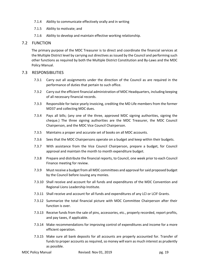- 7.1.4 Ability to communicate effectively orally and in writing
- 7.1.5 Ability to motivate; and
- 7.1.6 Ability to develop and maintain effective working relationship.

# 7.2 FUNCTION

The primary purpose of the MDC Treasurer is to direct and coordinate the financial services at the Multiple District level by carrying out directives as issued by the Council and performing such other functions as required by both the Multiple District Constitution and By-Laws and the MDC Policy Manual.

## 7.3 RESPONSIBILITIES

- 7.3.1 Carry out all assignments under the direction of the Council as are required in the performance of duties that pertain to such office.
- 7.3.2 Carry out the efficient financial administration of MDC Headquarters, including keeping of all necessary financial records.
- 7.3.3 Responsible for twice yearly invoicing, crediting the MD Life members from the former MD37 and collecting MDC dues.
- 7.3.4 Pays all bills; (any one of the three, approved MDC signing authorities, signing the cheque.) The three signing authorities are the MDC Treasurer, the MDC Council Chairperson, and the MDC Vice Council Chairperson.
- 7.3.5 Maintains a proper and accurate set of books on all MDC accounts.
- 7.3.6 Sees that the MDC Chairpersons operate on a budget and keep within their budgets.
- 7.3.7 With assistance from the Vice Council Chairperson, prepare a budget, for Council approval and maintain the month to month expenditure budget.
- 7.3.8 Prepare and distribute the financial reports, to Council, one week prior to each Council Finance meeting for review.
- 7.3.9 Must receive a budget from all MDC committees and approval for said proposed budget by the Council before issuing any monies.
- 7.3.10 Shall receive and account for all funds and expenditures of the MDC Convention and Regional Lions Leadership Institute.
- 7.3.11 Shall receive and account for all funds and expenditures of any LCI or LCIF Grants.
- 7.3.12 Summarize the total financial picture with MDC Committee Chairperson after their function is over.
- 7.3.13 Receive funds from the sale of pins, accessories, etc., properly recorded, report profits, and pay taxes, if applicable.
- 7.3.14 Make recommendations for improving control of expenditures and income for a more efficient operation.
- 7.3.15 Make sure all bank deposits for all accounts are properly accounted for. Transfer of funds to proper accounts as required, so money will earn as much interest as prudently as possible.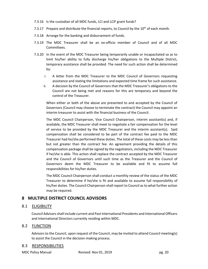- 7.3.16 Is the custodian of all MDC funds, LCI and LCIF grant funds?
- 7.3.17 Prepare and distribute the financial reports, to Council by the  $10^{th}$  of each month.
- 7.3.18 Arrange for the banking and disbursement of funds.
- 7.3.19 The MDC Treasurer shall be an ex-officio member of Council and of all MDC Committees.
- 7.3.20 In the event of the MDC Treasurer being temporarily unable or incapacitated so as to limit his/her ability to fully discharge his/her obligations to the Multiple District, temporary assistance shall be provided. The need for such action shall be determined by:
	- i. A letter from the MDC Treasurer to the MDC Council of Governors requesting assistance and stating the limitations and expected time frame for such assistance.
	- ii. A decision by the Council of Governors that the MDC Treasurer's obligations to the Council are not being met and reasons for this are temporary and beyond the control of the Treasurer.

When either or both of the above are presented to and accepted by the Council of Governors (Council may choose to terminate the contract) the Council may appoint an interim treasurer to assist with the financial business of the Council.

The MDC Council Chairperson, Vice Council Chairperson, interim assistant(s) and, if available, the MDC Treasurer shall meet to negotiate a fair compensation for the level of service to be provided by the MDC Treasurer and the interim assistant(s). Said compensation shall be considered to be part of the contract fee paid to the MDC Treasurer had he/she performed these duties. The total of these costs may be less than but not greater than the contract fee. An agreement providing the details of this compensation package shall be signed by the negotiators, including the MDC Treasurer if he/she is able. This action shall replace the contract accepted by the MDC Treasurer and the Council of Governors until such time as the Treasurer and the Council of Governors deem the MDC Treasurer to be available and fit to assume full responsibilities for his/her duties.

The MDC Council Chairperson shall conduct a monthly review of the status of the MDC Treasurer to determine if he/she is fit and available to assume full responsibility of his/her duties. The Council Chairperson shall report to Council as to what further action may be required.

# **8 MULTIPLE DISTRICT COUNCIL ADVISORS**

# 8.1 ELIGIBILITY

Council Advisors shall include current and Past International Presidents and International Officers and International Directors currently residing within MDC.

# 8.2 FUNCTION

Advisors to the Council, upon request of the Council, may be invited to attend Council meeting(s) to assist the Council in the decision-making process.

# 8.3 RESPONSIBILITIES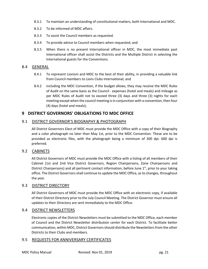- 8.3.1 To maintain an understanding of constitutional matters, both International and MDC.
- 8.3.2 To be informed of MDC affairs.
- 8.3.3 To assist the Council members as requested.
- 8.3.4 To provide advice to Council members when requested; and
- 8.3.5 When there is no present International officer in MDC, the most immediate past International officer shall assist the Districts and the Multiple District in selecting the International guests for the Conventions.

## 8.4 GENERAL

- 8.4.1 To represent Lionism and MDC to the best of their ability, in providing a valuable link from Council members to Lions Clubs International; and
- 8.4.2 including the MDC Convention, if the budget allows, they may receive the MDC Rules of Audit on the same basis as the Council - expenses (hotel and meals) and mileage as per MDC Rules of Audit not to exceed three (3) days and three (3) nights for each meeting except when the council meeting is in conjunction with a convention, then four (4) days (hotel and meals);

# **9 DISTRICT GOVERNORS' OBLIGATIONS TO MDC OFFICE**

# 9.1 DISTRICT GOVERNOR'S BIOGRAPHY & PHOTOGRAPH

All District Governors Elect of MDC must provide the MDC Office with a copy of their Biography and a color photograph no later than May 1st, prior to the MDC Convention. These are to be provided as electronic files, with the photograph being a minimum of 300 dpi. 600 dpi is preferred.

# 9.2 CABINETS

All District Governors of MDC must provide the MDC Office with a listing of all members of their Cabinet (1st and 2nd Vice District Governors, Region Chairpersons, Zone Chairpersons and District Chairpersons) and all pertinent contact information, before June  $1<sup>st</sup>$ , prior to your taking office. The District Governors shall continue to update the MDC Office, as to changes, throughout the year.

# 9.3 DISTRICT DIRECTORY

All District Governors of MDC must provide the MDC Office with an electronic copy, if available of their District Directory prior to the July Council Meeting. The District Governor must ensure all updates to their Directory are sent immediately to the MDC Office.

# 9.4 DISTRICT NEWSLETTERS

Electronic copies of the District Newsletters must be submitted to the MDC Office, each member of Council and the District Newsletter distribution center for each District. To facilitate better communication, within MDC, District Governors should distribute the Newsletters from the other Districts to their Clubs and members.

# 9.5 REQUESTS FOR ANNIVERSARY CERTIFICATES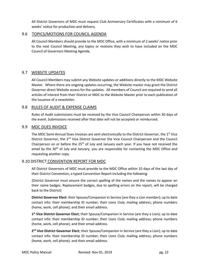All District Governors of MDC must request Club Anniversary Certificates with a minimum of 6 weeks' notice for production and delivery.

## 9.6 TOPICS/MOTIONS FOR COUNCIL AGENDA

All Council Members should provide to the MDC Office, with a minimum of 2 weeks' notice prior to the next Council Meeting, any topics or motions they wish to have included on the MDC Council of Governors Meeting Agenda.

# 9.7 WEBSITE UPDATES

All Council Members may submit any Website updates or additions directly to the MDC Website Master. Where there are ongoing updates occurring, the Website master may grant the District Governor direct Website access for the updates. All members of Council are required to send all articles of interest from their District or MDC to the Website Master prior to each publication of the issuance of a newsletter.

# 9.8 RULES OF AUDIT & EXPENSE CLAIMS

Rules of Audit submissions must be received by the Vice Council Chairperson within 30 days of the event. Submissions received after that date will not be accepted or reimbursed.

## 9.9 MDC DUES INVOICE

The MDC Semi-Annual Dues Invoices are sent electronically to the District Governor, the 1<sup>st</sup> Vice District Governor, the 2<sup>nd</sup> Vice District Governor the Vice Council Chairperson and the Council Chairperson on or before the 25<sup>th</sup> of July and January each year. If you have not received the email by the 30<sup>th</sup> of July and January, you are responsible for contacting the MDC Office and requesting another copy.

# 9.10 DISTRICT CONVENTION REPORT FOR MDC

All District Governors of MDC must provide to the MDC Office within 10 days of the last day of their District Convention, a typed Convention Report including the following:

{District Governor must ensure the correct spelling of the names and the names to appear on their name badges. Replacement badges, due to spelling errors on the report, will be charged back to the District}

**District Governor Elect**: their Spouse/Companion in Service (are they a Lion member); up to date contact info: their membership ID number; their Lions Club; mailing address; phone numbers (home, work, cell phone); and their email address.

**1st Vice District Governor Elect**; their Spouse/Companion in Service (are they a Lion); up to date contact info: their membership ID number; their Lions Club; mailing address; phone numbers (home, work, cell phone); and their email address.

**2nd Vice District Governor Elect**; their Spouse/Companion in Service (are they a Lion); up to date contact info: their membership ID number; their Lions Club; mailing address; phone numbers (home, work, cell phone); and their email address.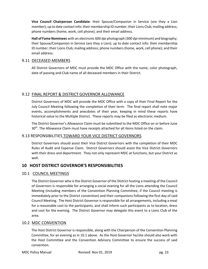**Vice Council Chairperson Candidate**: their Spouse/Companion in Service (are they a Lion member); up to date contact info: their membership ID number; their Lions Club; mailing address; phone numbers (home, work, cell phone); and their email address.

**Hall of Fame Nominees** with an electronic 600 dpi photograph (300 dpi minimum) and biography; their Spouse/Companion in Service (are they a Lion); up to date contact info: their membership ID number; their Lions Club; mailing address; phone numbers (home, work, cell phone); and their email address.

# 9.11 DECEASED MEMBERS

All District Governors of MDC must provide the MDC Office with the name, color photograph, date of passing and Club name of all deceased members in their District.

# 9.12 FINAL REPORT & DISTRICT GOVERNOR ALLOWANCE

District Governors of MDC will provide the MDC Office with a copy of their Final Report for the July Council Meeting following the completion of their term. The final report shall note major events, accomplishments and anecdotes of their year, keeping in mind these reports have historical value to the Multiple District. These reports may be filed as electronic medium.

The District Governor's Allowance Claim must be submitted to the MDC Office on or before June  $30<sup>th</sup>$ . The Allowance Claim must have receipts attached for all items listed on the claim.

# 9.13 RESPONSIBILITIES TOWARD YOUR VICE DISTRICT GOVERNORS

District Governors should assist their Vice District Governors with the completion of their MDC Rules of Audit and Expense Claim. District Governors should assist the Vice District Governors with their dress and deportment. They not only represent MDC at functions, but your District as well.

# **10 HOST DISTRICT GOVERNOR'S RESPONSIBILITIES**

# 10.1 COUNCIL MEETINGS

The District Governor who is the District Governor of the District hosting a meeting of the Council of Governors is responsible for arranging a social evening for all the Lions attending the Council Meeting (including members of the Convention Planning Committee, if the Council meeting is immediately prior to the District convention) and their companions following the first day of said Council Meeting. The Host District Governor is responsible for all arrangements, including a meal for a reasonable cost to the participants, and shall inform such participants as to location, dress and cost for the evening. The District Governor may delegate this event to a Lions Club of the area.

# 10.2 MDC CONVENTION

The Host District Governor is responsible, along with the Chairperson of the Convention Planning Committee, for an evening as in 10.1 above. As the Host Governor he/she should also work with the Host Committee and the Convention Advisory Committee to ensure the success of said convention.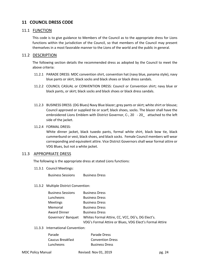# **11 COUNCIL DRESS CODE**

# 11.1 FUNCTION

This code is to give guidance to Members of the Council as to the appropriate dress for Lions functions within the jurisdiction of the Council, so that members of the Council may present themselves in a most favorable manner to the Lions of the world and the public in general.

# 11.2 DESCRIPTION

The following section details the recommended dress as adopted by the Council to meet the above criteria:

- 11.2.1 PARADE DRESS: MDC convention shirt, convention hat (navy blue, panama style), navy blue pants or skirt, black socks and black shoes or black dress sandals.
- 11.2.2 COUNCIL CASUAL or CONVENTION DRESS: Council or Convention shirt; navy blue or black pants, or skirt; black socks and black shoes or black dress sandals.
- 11.2.3 BUSINESS DRESS: (DG Blues) Navy Blue blazer; grey pants or skirt; white shirt or blouse; Council approved or supplied tie or scarf; black shoes, socks. The blazer shall have the embroidered Lions Emblem with District Governor, C-, 20 - 20\_ attached to the left side of the jacket.
- 11.2.4 FORMAL DRESS:

White dinner jacket, black tuxedo pants, formal white shirt, black bow tie, black cummerbund or vest, black shoes, and black socks. Female Council members will wear corresponding and equivalent attire. Vice District Governors shall wear formal attire or VDG Blues, but not a white jacket.

# 11.3 APPROPRIATE DRESS

The following is the appropriate dress at stated Lions functions:

11.3.1 Council Meetings:

Business Sessions Business Dress

# 11.3.2 Multiple District Convention:

| <b>Business Dress</b>                                                                                       |
|-------------------------------------------------------------------------------------------------------------|
| <b>Business Dress</b>                                                                                       |
| <b>Business Dress</b>                                                                                       |
| <b>Business Dress</b>                                                                                       |
| <b>Business Dress</b>                                                                                       |
| Whites Formal Attire, CC, VCC, DG's, DG Elect's.<br>VDG's Formal Attire or Blues, VDG Elect's Formal Attire |
|                                                                                                             |

11.3.3 International Convention:

| Parade           | Parade Dress            |
|------------------|-------------------------|
| Caucus Breakfast | <b>Convention Dress</b> |
| Luncheons        | <b>Business Dress</b>   |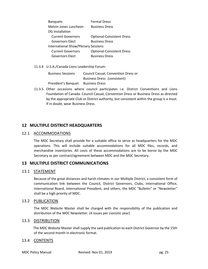| <b>Banquets</b>                            | <b>Formal Dress</b>              |  |
|--------------------------------------------|----------------------------------|--|
| Melvin Jones Luncheon                      | <b>Business Dress</b>            |  |
| DG Installation                            |                                  |  |
| <b>Current Governors</b>                   | <b>Optional-Consistent Dress</b> |  |
| <b>Governors Elect</b>                     | <b>Business Dress</b>            |  |
| <b>International Show/Plenary Sessions</b> |                                  |  |
| <b>Current Governors</b>                   | <b>Optional-Consistent Dress</b> |  |
| <b>Governors Elect</b>                     | <b>Business Dress</b>            |  |
|                                            |                                  |  |

11.3.4 U.S.A./Canada Lions Leadership Forum:

| <b>Business Sessions</b> | <b>Council Casual, Convention Dress or</b> |
|--------------------------|--------------------------------------------|
|                          | Business Dress (consistent)                |
| President's Banquet      | <b>Business Dress</b>                      |

11.3.5 Other occasions where council participates i.e. District Conventions and Lions Foundation of Canada: Council Casual, Convention Dress or Business Dress as directed by the appropriate Club or District authority, but consistent within the group is a must. If in doubt, wear Business Dress.

# **12 MULTIPLE DISTRICT HEADQUARTERS**

## 12.1 ACCOMMODATIONS

The MDC Secretary shall provide for a suitable office to serve as headquarters for the MDC operations. This will include suitable accommodations for all MDC files, records, and merchandise inventories. All costs of these accommodations are to be borne by the MDC Secretary as per contract/agreement between MDC and the MDC Secretary.

# **13 MULTIPLE DISTRICT COMMUNICATIONS**

# 13.1 STATEMENT

Because of the great distances and harsh climates in our Multiple District, a consistent form of communication link between the Council, District Governors, Clubs, International Office, International Board, International President, and others, the MDC "Bulletin" or "Newsletter" shall be a high priority of MDC.

## 13.2 PUBLICATION

The MDC Website Master shall be charged with the responsibility of the publication and distribution of the MDC Newsletter. (4 issues per Lionistic year)

## 13.3 DISTRIBUTION

 The MDC Website Master shall supply the said publication to each District Governor by the 15th of the second month in electronic format.

# 13.4 CONTENTS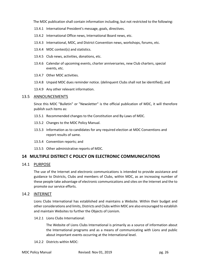The MDC publication shall contain information including, but not restricted to the following:

- 13.4.1 International President's message, goals, directives.
- 13.4.2 International Office news, International Board news, etc.
- 13.4.3 International, MDC, and District Convention news, workshops, forums, etc.
- 13.4.4 MDC contest(s) and statistics.
- 13.4.5 Club news, activities, donations, etc.
- 13.4.6 Calendar of upcoming events, charter anniversaries, new Club charters, special events, etc.
- 13.4.7 Other MDC activities.
- 13.4.8 Unpaid MDC dues reminder notice. (delinquent Clubs shall not be identified); and
- 13.4.9 Any other relevant information.

## 13.5 ANNOUNCEMENTS

Since this MDC "Bulletin" or "Newsletter" is the official publication of MDC, it will therefore publish such items as:

- 13.5.1 Recommended changes to the Constitution and By-Laws of MDC.
- 13.5.2 Changes to the MDC Policy Manual.
- 13.5.3 Information as to candidates for any required election at MDC Conventions and report results of same.
- 13.5.4 Convention reports; and
- 13.5.5 Other administrative reports of MDC.

# **14 MULTIPLE DISTRICT C POLICY ON ELECTRONIC COMMUNICATIONS**

## 14.1 PURPOSE

The use of the Internet and electronic communications is intended to provide assistance and guidance to Districts, Clubs and members of Clubs, within MDC, as an increasing number of these people take advantage of electronic communications and sites on the Internet and the to promote our service efforts.

## 14.2 INTERNET

Lions Clubs International has established and maintains a Website. Within their budget and other considerations and limits, Districts and Clubs within MDC are also encouraged to establish and maintain Websites to further the Objects of Lionism.

14.2.1 Lions Clubs International:

The Website of Lions Clubs International is primarily as a source of information about the International programs and as a means of communicating with Lions and public about important events occurring at the International level.

14.2.2 Districts within MDC: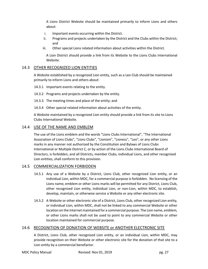A Lions District Website should be maintained primarily to inform Lions and others about:

- i. Important events occurring within the District.
- ii. Programs and projects undertaken by the District and the Clubs within the District; and
- iii. Other special Lions related information about activities within the District.

A Lion District should provide a link from its Website to the Lions Clubs International Website.

# 14.3 OTHER RECOGNIZED LION ENTITIES

A Website established by a recognized Lion entity, such as a Leo Club should be maintained primarily to inform Lions and others about:

- 14.3.1 Important events relating to the entity.
- 14.3.2 Programs and projects undertaken by the entity.
- 14.3.3 The meeting times and place of the entity; and
- 14.3.4 Other special related information about activities of the entity.

A Website maintained by a recognized Lion entity should provide a link from its site to Lions Clubs International Website.

# 14.4 USE OF THE NAME AND EMBLEM

The use of the Lions emblem and the words "Lions Clubs International", "The International Association of Lions Clubs", "Lions Clubs", "Lionism", "Lioness", "Leo", or any other Lions marks in any manner not authorized by the Constitution and Bylaws of Lions Clubs International or Multiple District C, or by action of the Lions Clubs International Board of Directors, is forbidden, and all Districts, member Clubs, individual Lions, and other recognized Lion entities, shall conform to this provision.

# 14.5 COMMERCIALIZATION FORBIDDEN

- 14.5.1 Any use of a Website by a District, Lions Club, other recognized Lion entity, or an individual Lion, within MDC, for a commercial purpose is forbidden. No licensing of the Lions name, emblem or other Lions marks will be permitted for any District, Lions Club, other recognized Lion entity, individual Lion, or non-Lion, within MDC, to establish, develop, maintain, or otherwise service a Website or any other electronic site.
- 14.5.2 A Website or other electronic site of a District, Lions Club, other recognized Lion entity, or individual Lion, within MDC, shall not be linked to any commercial Website or other location on the Internet maintained for a commercial purpose. The Lion name, emblem, or other Lions marks shall not be used to point to any commercial Website or other location maintained for commercial purpose.

# 14.6 RECOGNITION OF DONATION OF WEBSITE or ANOTHER ELECTRONIC SITE

A District, Lions Club, other recognized Lion entity, or an individual Lion, within MDC, may provide recognition on their Website or other electronic site for the donation of that site to a Lion entity by a commercial benefactor.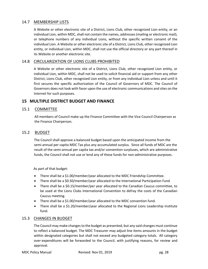# 14.7 MEMBERSHIP LISTS

A Website or other electronic site of a District, Lions Club, other recognized Lion entity, or an individual Lion, within MDC, shall not contain the names, addresses (mailing or electronic mail), or telephone numbers of any individual Lions, without the specific written consent of the individual Lion. A Website or other electronic site of a District, Lions Club, other recognized Lion entity, or individual Lion, within MDC, shall not use the official directory or any part thereof in its Website or another electronic site.

## 14.8 CIRCULARIZATION OF LIONS CLUBS PROHIBITED

A Website or other electronic site of a District, Lions Club, other recognized Lion entity, or individual Lion, within MDC, shall not be used to solicit financial aid or support from any other District, Lions Club, other recognized Lion entity, or from any individual Lion unless and until it first secures the specific authorization of the Council of Governors of MDC. The Council of Governors does not look with favor upon the use of electronic communications and sites on the Internet for such purposes.

# **15 MULTIPLE DISTRICT BUDGET AND FINANCE**

# 15.1 COMMITTEE

 All members of Council make up the Finance Committee with the Vice Council Chairperson as the Finance Chairperson.

# 15.2 BUDGET

The Council shall approve a balanced budget based upon the anticipated income from the semi-annual per capita MDC Tax plus any accumulated surplus. Since all funds of MDC are the result of the semi-annual per capita tax and/or convention surpluses, which are administrative funds, the Council shall not use or lend any of these funds for non-administrative purposes.

As part of that budget:

- There shall be a \$1.00/member/year allocated to the MDC Friendship Committee.
- There shall be a \$0.50/member/year allocated to the International Participation Fund
- There shall be a \$0.15/member/per year allocated to the Canadian Caucus committee, to be used at the Lions Clubs International Convention to defray the costs of the Canadian Caucus meeting.
- There shall be a \$1.00/member/year allocated to the MDC convention fund.
- There shall be a \$1.20/member/year allocated to the Regional Lions Leadership Institute fund.

# 15.3 CHANGES IN BUDGET

The Council may make changes to the budget as presented, but any said changes must continue to reflect a balanced budget. The MDC Treasurer may adjust line items amounts in the budget within designated categories but shall not exceed any budgeted category totals. All category over-expenditures will be forwarded to the Council, with justifying reasons, for review and approval.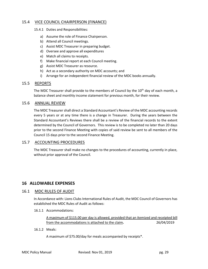# 15.4 VICE COUNCIL CHAIRPERSON (FINANCE)

- 15.4.1 Duties and Responsibilities:
	- a) Assume the role of Finance Chairperson.
	- b) Attend all Council meetings.
	- c) Assist MDC Treasurer in preparing budget.
	- d) Oversee and approve all expenditures
	- e) Match all claims to receipts.
	- f) Make financial report at each Council meeting.
	- g) Assist MDC Treasurer as resource.
	- h) Act as a secondary authority on MDC accounts; and
	- i) Arrange for an independent financial review of the MDC books annually.

## 15.5 REPORTS

The MDC Treasurer shall provide to the members of Council by the 10<sup>th</sup> day of each month, a balance sheet and monthly income statement for previous month, for their review.

## 15.6 ANNUAL REVIEW

The MDC Treasurer shall direct a Standard Accountant's Review of the MDC accounting records every 5 years or at any time there is a change in Treasurer. During the years between the Standard Accountant's Reviews there shall be a review of the financial records to the extent determined by the Council of Governors. This review is to be completed no later than 20 days prior to the second Finance Meeting with copies of said review be sent to all members of the Council 15 days prior to the second Finance Meeting.

## 15.7 ACCOUNTING PROCEDURES

The MDC Treasurer shall make no changes to the procedures of accounting, currently in place, without prior approval of the Council.

# **16 ALLOWABLE EXPENSES**

## 16.1 MDC RULES OF AUDIT

In Accordance with: Lions Clubs International Rules of Audit, the MDC Council of Governors has established the MDC Rules of Audit as follows:

16.1.1 Accommodations:

A maximum of \$115.00 per day is allowed, provided that an itemized and receipted bill from the accommodations is attached to the claim**.** 26/04/2019

#### 16.1.2 Meals:

A maximum of \$75.00/day for meals accompanied by receipts\*.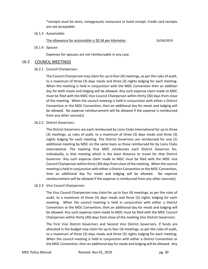\*receipts must be store, campground, restaurant or hotel receipt. Credit card receipts are not acceptable.

16.1.3 Automobile:

The allowance for automobile is \$0.36 per kilometer**.** 26/04/2019

16.1.4 Spouse:

Expenses for spouses are not reimbursable in any case.

## 16.2 COUNCIL MEETINGS

## 16.2.1 Council Chairperson:

The Council Chairperson may claim for up to four (4) meetings, as per the rules of audit, to a maximum of three (3) days meals and three (3) nights lodging for each meeting. When the meeting is held in conjunction with the MDC Convention then an addition day for both meals and lodging will be allowed. Any such expense claim made to MDC must be filed with the MDC Vice Council Chairperson within thirty (30) days from close of the meeting. When the council meeting is held in conjunction with either a District Convention or the MDC Convention, then an additional day for meals and lodging will be allowed. No expense reimbursement will be allowed if the expense is reimbursed from any other source(s).

## 16.2.2 District Governors:

The District Governors are each reimbursed by Lions Clubs International for up to three (3) meetings, as rules of audit, to a maximum of three (3) days meals and three (3) nights lodging for each meeting. The District Governors are reimbursed for one (1) additional meeting by MDC on the same basis as those reimbursed for by Lions Clubs International. The meeting that MDC reimburses each District Governor for, individually, is that meeting which is the least distance to travel for that District Governor. Any such expense claim made to MDC must be filed with the MDC vice Council Chairperson within thirty (30) days from close of the meeting. When the council meeting is held in conjunction with either a District Convention or the MDC Convention, then an additional day for meals and lodging will be allowed. No expense reimbursement will be allowed if the expense is reimbursed from any other source(s).

16.2.3 Vice Council Chairperson:

The Vice Council Chairperson may claim for up to four (4) meetings, as per the rules of audit, to a maximum of three (3) days meals and three (3) nights lodging for each meeting. When the council meeting is held in conjunction with either a District Convention or the MDC Convention, then an additional day for meals and lodging will be allowed. Any such expense claim made to MDC must be filed with the MDC Council Chairperson within thirty (30) days from close of the meeting Vice District Governors:

The First Vice District Governors and Second Vice District Governors, if funds are allocated in the budget may claim for up to four (4) meetings, as per the rules of audit, to a maximum of three (3) days meals and three (3) nights lodging for each meeting. When the council meeting is held in conjunction with either a District Convention or the MDC Convention, then an additional day for meals and lodging will be allowed. Any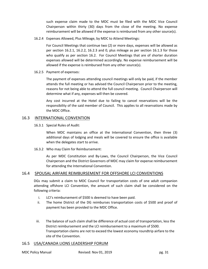such expense claim made to the MDC must be filed with the MDC Vice Council Chairperson within thirty (30) days from the close of the meeting. No expense reimbursement will be allowed if the expense is reimbursed from any other source(s).

16.2.4 Expenses Allowed, Plus Mileage, by MDC to Attend Meetings:

For Council Meetings that continue two (2) or more days, expenses will be allowed as per section 16.2.1, 16.2.2, 16.2.3 and 0, plus mileage as per section 16.1.3 for those who qualify as per section 16.2. For Council Meetings that are of shorter duration expenses allowed will be determined accordingly. No expense reimbursement will be allowed if the expense is reimbursed from any other source(s).

16.2.5 Payment of expenses:

The payment of expenses attending council meetings will only be paid, if the member attends the full meeting or has advised the Council Chairperson prior to the meeting, reasons for not being able to attend the full council meeting. Council Chairperson will determine what if any, expenses will then be covered.

Any cost incurred at the Hotel due to failing to cancel reservations will be the responsibility of the said member of Council. This applies to all reservations made by the MDC Office.

# 16.3 INTERNATIONAL CONVENTION

16.3.1 Special Rules of Audit:

When MDC maintains an office at the International Convention, then three (3) additional days of lodging and meals will be covered to ensure the office is available when the delegates start to arrive.

16.3.2 Who may Claim for Reimbursement:

As per MDC Constitution and By-Laws, the Council Chairperson, the Vice Council Chairperson and the District Governors of MDC may claim for expense reimbursement for attending the International Convention.

# 16.4 SPOUSAL AIRFARE REIMBURSEMENT FOR OFFSHORE LCI CONVENTIONS

DGs may submit a claim to MDC Council for transportation costs of one adult companion attending offshore LCI Convention, the amount of such claim shall be considered on the following criteria:

- i. LCI's reimbursement of \$500 is deemed to have been paid.
- ii. The home District of the DG reimburses transportation costs of \$500 and proof of payment has been provided to the MDC Office.
- iii. The balance of such claim shall be difference of actual cost of transportation, less the District reimbursement and the LCI reimbursement to a maximum of \$500. Transportation claims are not to exceed the lowest economy roundtrip airfare to the site of the Convention.

# 16.5 USA/CANADA LIONS LEADERSHIP FORUM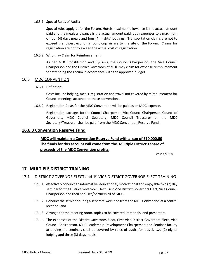#### 16.5.1 Special Rules of Audit:

Special rules apply at for the Forum. Hotels maximum allowance is the actual amount paid and the meals allowance is the actual amount paid, both expenses to a maximum of four (4) days meals and four (4) nights' lodgings. Transportation claims are not to exceed the lowest economy round-trip airfare to the site of the Forum. Claims for registration are not to exceed the actual cost of registration.

16.5.2 Who may Claim for Reimbursement:

As per MDC Constitution and By-Laws, the Council Chairperson, the Vice Council Chairperson and the District Governors of MDC may claim for expense reimbursement for attending the Forum in accordance with the approved budget.

## 16.6 MDC CONVENTION

16.6.1 Definition:

Costs include lodging, meals, registration and travel not covered by reimbursement for Council meetings attached to these conventions.

16.6.2 Registration Costs for the MDC Convention will be paid as an MDC expense.

Registration packages for the Council Chairperson, Vice Council Chairperson, Council of Governors, MDC Council Secretary, MDC Council Treasurer or the MDC Secretary/Treasurer shall be paid from the MDC Convention Reserve Fund.

# **16.6.3 Convention Reserve Fund**

# **MDC will maintain a Convention Reserve Fund with a cap of \$10,000.00 The funds for this account will come from the Multiple District's share of proceeds of the MDC Convention profits.**

01/11/2019

# **17 MULTIPLE DISTRICT TRAINING**

# 17.1 DISTRICT GOVERNOR ELECT and 1<sup>st</sup> VICE DISTRICT GOVERNOR ELECT TRAINING

- 17.1.1 effectively conduct an informative, educational, motivational and enjoyable two (2) day seminar for the District Governors Elect, First Vice District Governors Elect, Vice Council Chairperson and their spouses/partners all of MDC.
- 17.1.2 Conduct the seminar during a separate weekend from the MDC Convention at a central location; and
- 17.1.3 Arrange for the meeting room, topics to be covered, materials, and presenters.
- 17.1.4 The expenses of the District Governors Elect, First Vice District Governors Elect, Vice Council Chairperson, MDC Leadership Development Chairperson and Seminar faculty attending the seminar, shall be covered by rules of audit, for travel, two (2) nights lodging and three (3) days meals.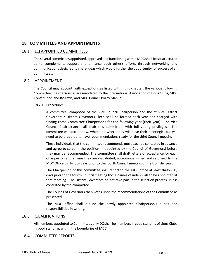# **18 COMMITTEES AND APPOINTMENTS**

# 18.1 LCI APPOINTED COMMITTEES

The several committees appointed, approved and functioning within MDC shall be so structured as to complement, support and enhance each other's efforts through networking and communications designed to share ideas which would further the opportunity for success of all committees.

# 18.2 APPOINTMENT

The Council may appoint, with exceptions as listed within this chapter, the various following Committee Chairpersons as are mandated by the International Association of Lions Clubs, MDC Constitution and By-Laws, and MDC Council Policy Manual.

## 18.2.1 Procedure:

A committee, composed of the Vice Council Chairperson and the1st Vice District Governors / District Governors Elect, shall be formed each year and charged with finding these Committee Chairpersons for the following year (their year). The Vice Council Chairperson shall chair this committee, with full voting privileges. The committee will decide how, when and where they will have their meeting(s) but will need to be prepared to have recommendations ready for the third Council meeting.

These individuals that the committee recommends must each be contacted in advance and agree to serve in the position (if appointed by the Council of Governors) before they may be recommended. The committee shall draft letters of acceptance for each Chairperson and ensure they are distributed, acceptance signed and returned to the MDC Office thirty (30) days prior to the fourth Council meeting of the Lionistic year.

The Chairperson of this committee shall report to the MDC office at least thirty (30) days prior to the fourth Council meeting those names of individuals to be appointed at that meeting. The District Governors do not take part in the selection process unless consulted by the committee.

The Council of Governors then votes upon the recommendations of the Committee as presented.

The MDC office shall outline the newly appointed Chairperson's duties and responsibilities in writing.

# 18.3 QUALIFICATIONS

All members appointed to Committees of MDC shall be members in good standing of Lions Clubs in good standing, within the boundaries of MDC.

# 18.4 COMMITTEE REPORTS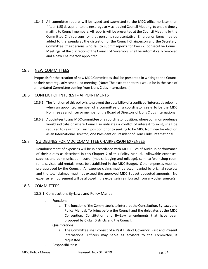18.4.1 All committee reports will be typed and submitted to the MDC office no later than fifteen (15) days prior to the next regularly scheduled Council Meeting, to enable timely mailing to Council members. All reports will be presented at the Council Meeting by the Committee Chairpersons, or that person's representative. Emergency items may be added to the agenda at the discretion of the Council Chairperson and the Secretary. Committee Chairpersons who fail to submit reports for two (2) consecutive Council Meetings, at the discretion of the Council of Governors, shall be automatically removed and a new Chairperson appointed.

# 18.5 NEW COMMITTEES

Proposals for the creation of new MDC Committees shall be presented in writing to the Council at their next regularly scheduled meeting. [Note: The exception to this would be in the case of a mandated Committee coming from Lions Clubs International.]

# 18.6 CONFLICT OF INTEREST - APPOINTMENTS

- 18.6.1 The function of this policy is to prevent the possibility of a conflict of interest developing when an appointed member of a committee or a coordinator seeks to be the MDC Nominee as an officer or member of the Board of Directors of Lions Clubs International.
- 18.6.2 Appointees to any MDC committee or a coordinator position, where common prudence would indicate or where Council so indicates a conflict of interest to exist, shall be required to resign from such position prior to seeking to be MDC Nominee for election as an International Director, Vice President or President of Lions Clubs International.

# 18.7 GUIDELINES FOR MDC COMMITTEE CHAIRPERSON EXPENSES

Reimbursement of expenses will be in accordance with MDC Rules of Audit, in performance of their duties as described in this Chapter 7 of this Policy Manual. Allowable expenses: supplies and communication, travel (meals, lodging and mileage), seminar/workshop room rentals, visual aid rentals, must be established in the MDC Budget. Other expenses must be pre-approved by the Council. All expense claims must be accompanied by original receipts and the total claimed must not exceed the approved MDC Budget budgeted amounts. No expense reimbursement will be allowed if the expense is reimbursed from any other source(s).

# 18.8 COMMITTEES

18.8.1 Constitution, By-Laws and Policy Manual:

- i. Function:
	- a. The function of the Committee is to interpret the Constitution, By-Laws and Policy Manual. To bring before the Council and the delegates at the MDC Convention, Constitution and By-Law amendments that have been proposed by Clubs, Districts and the Council.
- ii. Qualifications:
	- a. The Committee shall consist of a Past District Governor. Past and Present International Officers may serve as advisors to the Committee, if requested.
- iii. Responsibilities: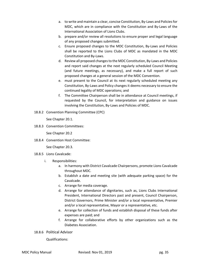- a. to write and maintain a clear, concise Constitution, By-Laws and Policies for MDC, which are in compliance with the Constitution and By-Laws of the International Association of Lions Clubs.
- b. prepare and/or review all resolutions to ensure proper and legal language of any proposed changes submitted.
- c. Ensure proposed changes to the MDC Constitution, By-Laws and Policies shall be reported to the Lions Clubs of MDC as mandated in the MDC Constitution and By-Laws.
- d. Review all proposed changes to the MDC Constitution, By-Laws and Policies and report said changes at the next regularly scheduled Council Meeting (and future meetings, as necessary), and make a full report of such proposed changes at a general session of the MDC Convention.
- e. must present to the Council at its next regularly scheduled meeting any Constitution, By-Laws and Policy changes it deems necessary to ensure the continued legality of MDC operations; and
- f. The Committee Chairperson shall be in attendance at Council meetings, if requested by the Council, for interpretation and guidance on issues involving the Constitution, By-Laws and Policies of MDC.
- 18.8.2 Convention Planning Committee (CPC)

See Chapter 20.1.

18.8.3 Convention Committees:

See Chapter 20.2

18.8.4 Convention Host Committee:

See Chapter 20.3.

- 18.8.5 Lions Cavalcade:
	- i. Responsibilities:
		- a. In harmony with District Cavalcade Chairpersons, promote Lions Cavalcade throughout MDC.
		- b. Establish a date and meeting site (with adequate parking space) for the Cavalcade.
		- c. Arrange for media coverage.
		- d. Arrange for attendance of dignitaries, such as, Lions Clubs International President, International Directors past and present, Council Chairperson, District Governors, Prime Minister and/or a local representative, Premier and/or a local representative, Mayor or a representative, etc.
		- e. Arrange for collection of funds and establish disposal of these funds after expenses are paid; and
		- f. Arrange for collaborative efforts by other organizations such as the Diabetes Association.
- 18.8.6 Political Advisor

Qualifications: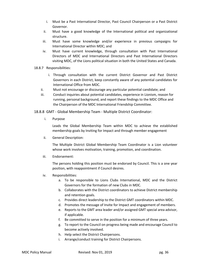- i. Must be a Past International Director, Past Council Chairperson or a Past District Governor.
- ii. Must have a good knowledge of the International political and organizational structure.
- iii. Must have some knowledge and/or experience in previous campaigns for International Director within MDC; and
- iv. Must have current knowledge, through consultation with Past International Directors of MDC and International Directors and Past International Directors visiting MDC, of the Lions political situation in both the United States and Canada.
- 18.8.7 Responsibilities:
	- i. Through consultation with the current District Governor and Past District Governors in each District, keep constantly aware of any potential candidates for International Office from MDC.
	- ii. Must not encourage or discourage any particular potential candidate; and
	- iii. Conduct inquiries about potential candidates, experience in Lionism, reason for running, personal background, and report these findings to the MDC Office and the Chairperson of the MDC International Friendship Committee.

18.8.8 GMT - Global Membership Team - Multiple District Coordinator:

i. Purpose

Leads the Global Membership Team within MDC to achieve the established membership goals by Inviting for Impact and through member engagement

ii. General Description:

The Multiple District Global Membership Team Coordinator is a Lion volunteer whose work involves motivation, training, promotion, and coordination.

iii. Endorsement:

The persons holding this position must be endorsed by Council. This is a one year position, with reappointment if Council desires.

- iv. Responsibilities:
	- a. To be responsible to Lions Clubs International, MDC and the District Governors for the formation of new Clubs in MDC.
	- b. Collaborates with the District coordinators to achieve District membership and retention goals.
	- c. Provides direct leadership to the District GMT coordinators within MDC.
	- d. Promotes the message of Invite for Impact and engagement of members.
	- e. Reports to the GMT area leader and/or assigned GMT special area advisor, if applicable.
	- f. Be committed to serve in the position for a minimum of three years.
	- g. To report to the Council on progress being made and encourage Council to become actively involved.
	- h. Help select the District Chairpersons.
	- i. Arrange/conduct training for District Chairpersons.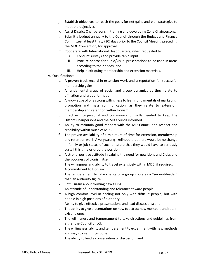- j. Establish objectives to reach the goals for net gains and plan strategies to meet the objectives.
- k. Assist District Chairpersons in training and developing Zone Chairpersons.
- l. Submit a budget annually to the Council through the Budget and Finance Committee, at least thirty (30) days prior to the Council Meeting preceding the MDC Convention, for approval.
- m. Cooperate with International Headquarters, when requested to:
	- i. Conduct surveys and provide rapid input.
	- ii. Procure photos for audio/visual presentations to be used in areas according to their needs; and
	- iii. Help in critiquing membership and extension materials.
- v. Qualifications:
	- a. A proven track record in extension work and a reputation for successful membership gains.
	- b. A fundamental grasp of social and group dynamics as they relate to affiliation and group formation.
	- c. A knowledge of or a strong willingness to learn fundamentals of marketing, promotion and mass communication, as they relate to extension, membership and retention within Lionism.
	- d. Effective interpersonal and communication skills needed to keep the District Chairpersons and the MD Council informed.
	- e. Ability to maintain good rapport with the MD Council and respect and credibility within much of MDC.
	- f. The proven availability of a minimum of time for extension, membership and retention work. A very strong likelihood that there would be no change in family or job status of such a nature that they would have to seriously curtail this time or drop the position.
	- g. A strong, positive attitude in valuing the need for new Lions and Clubs and the goodness of Lionism itself.
	- h. The willingness and ability to travel extensively within MDC, if required.
	- i. A commitment to Lionism.
	- j. The temperament to take charge of a group more as a "servant-leader" than an authority figure.
	- k. Enthusiasm about forming new Clubs.
	- l. An attitude of understanding and tolerance toward people.
	- m. A high comfort-level in dealing not only with difficult people, but with people in high positions of authority.
	- n. Ability to give effective presentations and lead discussions; and
	- o. The ability to give presentations on how to attract new members and retain existing ones.
	- p. The willingness and temperament to take directions and guidelines from either the Council or LCI.
	- q. The willingness, ability and temperament to experiment with new methods and ways to get things done.
	- r. The ability to lead a conversation or discussion; and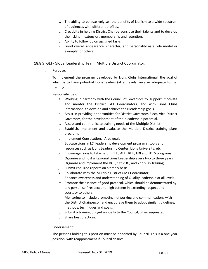- s. The ability to persuasively sell the benefits of Lionism to a wide spectrum of audiences with different profiles.
- t. Creativity in helping District Chairpersons use their talents and to develop their skills in extension, membership and retention.
- u. Ability to follow up on assigned tasks.
- v. Good overall appearance, character, and personality as a role model or example for others.

## 18.8.9 GLT- Global Leadership Team: Multiple District Coordinator:

i. Purpose:

To implement the program developed by Lions Clubs International, the goal of which is to have potential Lions leaders (at all levels) receive adequate formal training.

- ii. Responsibilities:
	- a. Working in harmony with the Council of Governors to, support, motivate and mentor the District GLT Coordinators, and with Lions Clubs International to develop and achieve their leadership goals.
	- b. Assist in providing opportunities for District Governors Elect, Vice District Governors, for the development of their leadership potential.
	- c. Assess and communicate training needs of the Multiple District
	- d. Establish, implement and evaluate the Multiple District training plan/ programs
	- e. Implement Constitutional Area goals
	- f. Educate Lions in LCI leadership development programs, tools and resources such as Lions Leadership Center, Lions University, etc.
	- g. Encourage Lions to take part in ELLI, ALLI, RLLI, FDI and FDES programs
	- h. Organize and host a Regional Lions Leadership every two to three years
	- i. Organize and implement the DGE, 1st VDG, and 2nd VDG training
	- j. Submit required reports on a timely basis
	- k. Collaborate with the Multiple District GMT Coordinator
	- l. Enhance awareness and understanding of Quality leadership at all levels
	- m. Promote the essence of good protocol, which should be demonstrated by any person self-respect and high esteem in extending respect and courtesy to others.
	- n. Mentoring to include promoting networking and communications with the District Chairperson and encourage them to adopt similar guidelines, methods, techniques and goals.
	- o. Submit a training budget annually to the Council, when requested.
	- p. Share best practices.
- iii. Endorsement:

The persons holding this position must be endorsed by Council. This is a one year position, with reappointment if Council desires.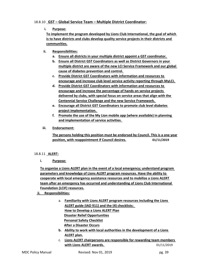# 18.8.10 **GST – Global Service Team – Multiple District Coordinator:**

## **i. Purpose:**

**To implement the program developed by Lions Club International, the goal of which is to have districts and clubs develop quality service projects in their districts and communities.**

- **ii. Responsibilities:**
	- **a. Ensure all districts in your multiple district appoint a GST coordinator.**
	- **b. Ensure all District GST Coordinators as well as District Governors in your multiple district are aware of the new LCI Service Framework and our global cause of diabetes prevention and control.**
	- **c. Provide District GST Coordinators with information and resources to encourage and increase club level service activity reporting through MyLCI.**
	- **d. Provide District GST Coordinators with information and resources to encourage and increase the percentage of hands on service projects delivered by clubs, with special focus on service areas that align with the Centennial Service Challenge and the new Service Framework.**
	- **e. Encourage all District GST Coordinators to promote club level diabetes project implementation.**
	- **f. Promote the use of the My Lion mobile app (where available) in planning and implementation of service activities.**
- **iii. Endorsement:**

**The persons holding this position must be endorsed by Council. This is a one year position, with reappointment if Council desires. 01/11/2019**

## 18.8.11 **ALERT:**

**i. Purpose:**

**To organize a Lions ALERT plan in the event of a local emergency; understand program parameters and knowledge of Lions ALERT program resources. Have the ability to cooperate with local emergency assistance resources and to mobilize a Lions ALERT team after an emergency has occurred and understanding of Lions Club International Foundation (LCIF) resources.**

- **ii. Responsibilities:**
	- a. **Familiarity with Lions ALERT program resources including the Lions ALERT guide (IAD 911) and the (4) checklists: How to Develop a Lions ALERT Plan Disaster Relief Opportunities Personal Safety Checklist After a Disaster Occurs**
	- **b. Ability to work with local authorities in the development of a Lions ALERT plan.**
	- c. **Lions ALERT chairpersons are responsible for rewarding team members**  with Lions ALERT awards.  $01/11/2019$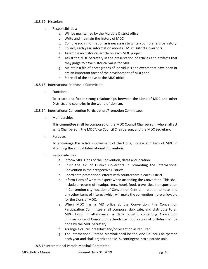#### 18.8.12 Historian:

- i. Responsibilities:
	- a. Will be maintained by the Multiple District office.
	- b. Write and maintain the history of MDC.
	- c. Compile such information as is necessary to write a comprehensive history:
	- d. Collect, each year, information about all MDC District Governors.
	- e. Assemble an historical article on each MDC project.
	- f. Assist the MDC Secretary in the preservation of articles and artifacts that they judge to have historical value for MDC.
	- g. Maintain a file of photographs of individuals and events that have been or are an important facet of the development of MDC; and
	- h. Store all of the above at the MDC office.
- 18.8.13 International Friendship Committee:
	- i. Function:

To create and foster strong relationships between the Lions of MDC and other Districts and countries in the world of Lionism.

- 18.8.14 International Convention Participation/Promotion Committee:
	- i. Membership:

This committee shall be composed of the MDC Council Chairperson, who shall act as its Chairperson, the MDC Vice Council Chairperson, and the MDC Secretary.

ii. Purpose:

To encourage the active involvement of the Lions, Lioness and Leos of MDC in attending the annual International Convention.

- iii. Responsibilities:
	- a. Inform MDC Lions of the Convention, dates and location.
	- b. Enlist the aid of District Governors in promoting the International Convention in their respective Districts.
	- c. Coordinate promotional efforts with counterpart in each District.
	- d. Inform Lions of what to expect when attending the Convention. This shall include a resume of headquarters, hotel, food, travel tips, transportation in Convention city, location of Convention Centre in relation to hotel and any other items of interest which will make the convention more enjoyable for the Lions of MDC.
	- e. When MDC has a MD office at the Convention, the Convention Participation Committee shall compose, duplicate, and distribute to all MDC Lions in attendance, a daily bulletin containing Convention information and Convention attendance. Duplication of bulletin shall be done by the MDC Secretary.
	- f. Arrange a caucus breakfast and/or reception as required.
	- g. The International Parade Marshall shall be the Vice Council Chairperson each year and shall organize the MDC contingent into a parade unit.

18.8.15 International Parade Marshall Committee: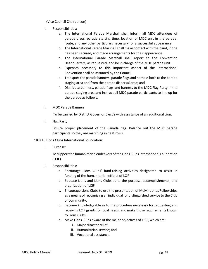(Vice Council Chairperson)

- i. Responsibilities:
	- a. The International Parade Marshall shall inform all MDC attendees of parade dress, parade starting time, location of MDC unit in the parade, route, and any other particulars necessary for a successful appearance.
	- b. The International Parade Marshall shall make contact with the band, if one has been secured, and made arrangements for their appearance.
	- c. The International Parade Marshall shall report to the Convention Headquarters, as requested, and be in charge of the MDC parade unit.
	- d. Expenses necessary to this important aspect of the International Convention shall be assumed by the Council
	- e. Transport the parade banners, parade flags and harness both to the parade staging area and from the parade dispersal area; and
	- f. Distribute banners, parade flags and harness to the MDC Flag Party in the parade staging area and instruct all MDC parade participants to line up for the parade as follows:
- ii. MDC Parade Banners

To be carried by District Governor Elect's with assistance of an additional Lion.

iii. Flag Party

Ensure proper placement of the Canada flag. Balance out the MDC parade participants so they are marching in neat rows.

## 18.8.16 Lions Clubs International Foundation:

i. Purpose:

To support the humanitarian endeavors of the Lions Clubs International Foundation (LCIF).

- ii. Responsibilities:
	- a. Encourage Lions Clubs' fund-raising activities designated to assist in funding of the humanitarian efforts of LCIF
	- b. Educate Lions and Lions Clubs as to the purpose, accomplishments, and organization of LCIF
	- c. Encourage Lions Clubs to use the presentation of Melvin Jones Fellowships as a means of recognizing an individual for distinguished service to the Club or community.
	- d. Become knowledgeable as to the procedure necessary for requesting and receiving LCIF grants for local needs, and make those requirements known to Lions Clubs.
	- e. Make Lions Clubs aware of the major objectives of LCIF, which are:
		- i. Major disaster relief.
		- ii. Humanitarian service; and
		- iii. Vocational assistance.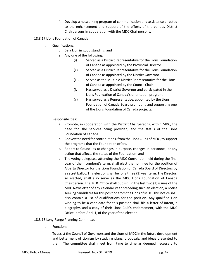- f. Develop a networking program of communication and assistance directed to the enhancement and support of the efforts of the various District Chairpersons in cooperation with the MDC Chairpersons.
- 18.8.17 Lions Foundation of Canada:
	- i. Qualifications:
		- d. Be a Lion in good standing; and
		- e. Any one of the following:
			- (i) Served as a District Representative for the Lions Foundation of Canada as appointed by the Provincial Director
			- (ii) Served as a District Representative for the Lions Foundation of Canada as appointed by the District Governor
			- (iii) Served as the Multiple District Representative for the Lions of Canada as appointed by the Council Chair
			- (iv) Has served as a District Governor and participated in the Lions Foundation of Canada's orientation program.
			- (v) Has served as a Representative, appointed by the Lions Foundation of Canada Board promoting and supporting one of the Lions Foundation of Canada projects.
	- ii. Responsibilities:
		- a. Promote, in cooperation with the District Chairpersons, within MDC, the need for, the services being provided, and the status of the Lions Foundation of Canada.
		- b. Convey the need for contributions, from the Lions Clubs of MDC, to support the programs that the Foundation offers.
		- c. Report to Council as to changes in purpose, changes in personnel, or any action that affects the status of the Foundation; and
		- d. The voting delegates, attending the MDC Convention held during the final year of the incumbent's term, shall elect the nominee for the position of Alberta Director for the Lions Foundation of Canada Board of Directors by a secret ballot. This election shall be for a three (3) year term. The Director, so elected, shall also serve as the MDC Lions Foundation of Canada Chairperson. The MDC Office shall publish, in the last two (2) issues of the MDC Newsletter of any calendar year preceding such an election, a notice seeking candidates for this position from the Lions of MDC. This notice shall also contain a list of qualifications for the position. Any qualified Lion wishing to be a candidate for this position shall file a letter of intent, a biography, and a copy of their Lions Club's endorsement, with the MDC Office, before April 1, of the year of the election.
- 18.8.18 Long Range Planning Committee:
	- i. Function:

To assist the Council of Governors and the Lions of MDC in the future development and betterment of Lionism by studying plans, proposals, and ideas presented to them. The committee shall meet from time to time as deemed necessary to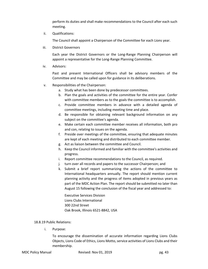perform its duties and shall make recommendations to the Council after each such meeting.

ii. Qualifications:

The Council shall appoint a Chairperson of the Committee for each Lions year.

iii. District Governors

Each year the District Governors or the Long-Range Planning Chairperson will appoint a representative for the Long-Range Planning Committee.

iv. Advisors:

Past and present International Officers shall be advisory members of the Committee and may be called upon for guidance in its deliberations.

- v. Responsibilities of the Chairperson:
	- a. Study what has been done by predecessor committees.
	- b. Plan the goals and activities of the committee for the entire year. Confer with committee members as to the goals the committee is to accomplish.
	- c. Provide committee members in advance with a detailed agenda of committee meetings, including meeting time and place.
	- d. Be responsible for obtaining relevant background information on any subject on the committee's agenda.
	- e. Make certain each committee member receives all information, both pro and con, relating to issues on the agenda.
	- f. Preside over meetings of the committee, ensuring that adequate minutes are kept of each meeting and distributed to each committee member.
	- g. Act as liaison between the committee and Council.
	- h. Keep the Council informed and familiar with the committee's activities and progress.
	- i. Report committee recommendations to the Council, as required.
	- j. turn over all records and papers to the successor Chairperson; and
	- k. Submit a brief report summarizing the actions of the committee to International headquarters annually. The report should mention current planning activity and the progress of items adopted in previous years as part of the MDC Action Plan. The report should be submitted no later than August 15 following the conclusion of the fiscal year and addressed to:

Executive Services Division Lions Clubs International 300 22nd Street Oak Brook, Illinois 6521-8842, USA

## 18.8.19 Public Relations:

i. Purpose:

To encourage the dissemination of accurate information regarding Lions Clubs Objects, Lions Code of Ethics, Lions Motto, service activities of Lions Clubs and their membership.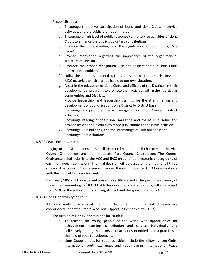- ii. Responsibilities:
	- a. Encourage the active participation of Lions, and Lions Clubs, in service activities, and the public promotion thereof.
	- b. Encourage a high level of public response to the service activities of Lions Clubs, to enhance the public's voluntary contributions.
	- c. Promote the understanding, and the significance, of our motto, "We Serve".
	- d. Provide information regarding the importance of the organizational structure of Lionism.
	- e. Promote the proper recognition, use and respect for our Lions Clubs International emblem.
	- f. Utilize the materials provided by Lions Clubs International and also develop MDC materials which are applicable to our own situation.
	- g. Assist in the education of Lions Clubs, and officers of the Districts, in their development of programs to promote their activities within their particular communities and Districts.
	- h. Provide leadership, and leadership training, for the strengthening and development of public relations on a District by District basis.
	- i. Encourage, and promote, media coverage of Lions Club, Zone and District activities.
	- j. Encourage reading of the "Lion" magazine and the MDC bulletin, and provide articles and pictures to those publications for possible inclusion.
	- k. Encourage Club bulletins, and the interchange of Club bulletins; and
	- l. Encourage Club visitations.

# 18.8.20 Peace Poster Contest:

Judging of the District nominees shall be done by the Council Chairperson, the Vice Council Chairperson and the Immediate Past Council Chairperson. The Council Chairperson shall submit to the VCC and IPCC unidentified electronic photographs of each nominees' submissions. The final decision will be based on the input of all three officers. The Council Chairperson will submit the winning poster to LCI in accordance with the competition requirements.

Each year, MDC shall provide and present a certificate and a cheque in the currency of the winner, amounting to \$100.00. A letter or card, of congratulations, will also be sent from MDC to the school of this winning student and the sponsoring Lions Club.

## 18.8.21 Lions Opportunity for Youth

All Lions youth programs at the Club, District and multiple District levels are coordinated under the umbrella of Lions Opportunities for Youth (LOFY).

- i. The mission of Lions Opportunities for Youth is:
	- a. To provide the young people of the world with opportunities for achievement, learning, contribution and service, individually and collectively, through sponsorship of activities identified as best practices in the field of youth development.
	- b. Lions Opportunities for Youth activities include the following: Leo Clubs, International youth exchanges and youth camps, International Peace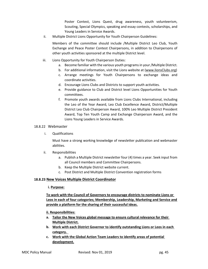Poster Contest, Lions Quest, drug awareness, youth volunteerism, Scouting, Special Olympics, speaking and essay contests, scholarships, and Young Leaders in Service Awards.

ii. Multiple District Lions Opportunity for Youth Chairperson Guidelines:

Members of the committee should include /Multiple District Leo Club, Youth Exchange and Peace Poster Contest Chairpersons, in addition to Chairpersons of other youth activities sponsored at the multiple District level.

- iii. Lions Opportunity for Youth Chairperson Duties:
	- a. Become familiar with the various youth programs in your /Multiple District.
	- b. For additional information, visit the Lions website at (www.lionsClubs.org)
	- c. Arrange meetings for Youth Chairpersons to exchange ideas and coordinate activities.
	- d. Encourage Lions Clubs and Districts to support youth activities.
	- e. Provide guidance to Club and District level Lions Opportunities for Youth committees.
	- f. Promote youth awards available from Lions Clubs International, including the Leo of the Year Award, Leo Club Excellence Award, District/Multiple District Leo Club Chairperson Award, 100% Leo Multiple District President Award, Top Ten Youth Camp and Exchange Chairperson Award, and the Lions Young Leaders in Service Awards.

## 18.8.22 Webmaster

i. Qualifications

Must have a strong working knowledge of newsletter publication and webmaster abilities.

- ii. Responsibilities
	- a. Publish a Multiple District newsletter four (4) times a year. Seek input from all Council members and Committee Chairpersons.
	- b. Keep the Multiple District website current.
	- c. Post District and Multiple District Convention registration forms

# **18.8.23 New Voices Multiple District Coordinator**

## **i. Purpose:**

**To work with the Council of Governors to encourage districts to nominate Lions or Leos in each of four categories; Membership, Leadership, Marketing and Service and provide a platform for the sharing of their successful ideas.**

- **ii. Responsibilities:**
- **a. Tailor the New Voices global message to ensure cultural relevance for their Multiple District.**
- **b. Work with each District Governor to identify outstanding Lions or Leos in each category.**
- **c. Work with the Global Action Team Leaders to identify areas of potential development.**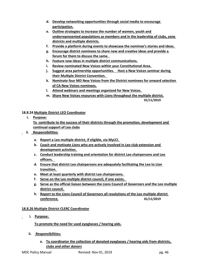- **d. Develop networking opportunities through social media to encourage participation.**
- **e. Outline strategies to increase the number of women, youth and underrepresented populations as members and in the leadership of clubs, zone districts and multiple districts.**
- **f. Provide a platform during events to showcase the nominee's stories and ideas.**
- **g. Encourage district nominees to share new and creative ideas and provide a forum for them to discuss the same.**
- **h. Feature new ideas in multiple district communications.**
- **i. Review nominated New Voices within your Constitutional Area.**
- **j. Suggest area partnership opportunities. Host a New Voices seminar during their Multiple District Convention.**
- **k. Nominate four MD New Voices from the District nominees for onward selection of CA New Voices nominees.**
- **l. Attend webinars and meetings organized for New Voices.**
- **m. Share New Voices resources with Lions throughout the multiple district. 01/11/2019**

## **18.8.24 Multiple District LEO Coordinator**

- **i. Purpose: To contribute to the success of their districts through the promotion, development and continual support of Leo clubs**
- **ii. Responsibilities:**
	- **a. Report a Leo multiple district, if eligible, via MyLCI.**
	- **b. Coach and motivate Lions who are actively involved in Leo club extension and development activities.**
	- **c. Conduct leadership training and orientation for district Leo chairpersons and Leo officers.**
	- **d. Ensure that district Leo chairpersons are adequately facilitating the Leo to Lion transition.**
	- **e. Meet at least quarterly with district Leo chairpersons.**
	- **f. Serve on the Leo multiple district council, if one exists.**
	- **g. Serve as the official liaison between the Lions Council of Governors and the Leo multiple district council.**
	- **h. Report to the Lions Council of Governors all resolutions of the Leo multiple district conference. 01/11/2019**

# **18.8.26 Multiple District CLERC Coordinator**

 **i. Purpose:** 

 **To promote the need for used eyeglasses / hearing aids.**

- **ii. Responsibilities:**
	- **a. To coordinator the collection of donated eyeglasses / hearing aids from districts, clubs and other donors**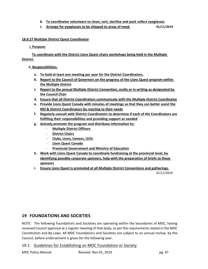- **b. To coordinator volunteers to clean, sort, sterilize and pack collect eyeglasses**
- **c. Arrange for eyeglasses to be shipped to areas of need. 01/11/2019**

# **18.8.27 Multiple District Quest Coordinator**

 **i. Purpose:**

 **To coordinate with the District Lions Quest chairs workshops being held in the Multiple District.**

 **ii. Responsibilities:**

- **a. To hold at least one meeting per year for the District Coordinators.**
- **b. Report to the Council of Governors on the progress of the Lions Quest program within the Multiple District**
- **c. Report to the annual Multiple District Convention, orally or in writing as designated by the Council Chair**
- **d. Ensure that all District Coordinators communicate with the Multiple District Coordinator**
- **e. Provide Lions Quest Canada with minutes of meetings so that they can better assist the MD & District Coordinators by reacting to their needs**
- **f. Regularly consult with District Coordinators to determine if each of the Coordinators are fulfilling their responsibilities and providing support as needed**
- **g. Actively promote the program and distribute information to:**
	- **Multiple District Officers**
	- **District Chairs**
	- **Clubs, Lions, Lioness, LEOs**
	- **Lions Quest Canada**
	- **Provincial Government and Ministry of Education**
- **h. Work with Lions Quest Canada to coordinate fundraising at the provincial level, by identifying possible corporate sponsors, help with the preparation of briefs to these sponsors**
- **i. Ensure Lions Quest is promoted at all Multiple District Conventions and gatherings.**

01/11/2019

# **19 FOUNDATIONS AND SOCIETIES**

NOTE: The following Foundations and Societies are operating within the boundaries of MDC, having received Council approval at a regular meeting of that body, as per the requirements stated in the MDC Constitution and By-Laws. All MDC Foundations and Societies are subject to an annual review, by the Council, before endorsement is given for the following year.

# 19.1 Guidelines for Establishing an MDC Foundation or Society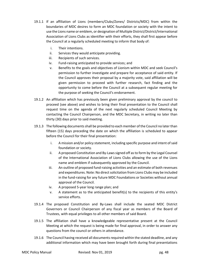- 19.1.1 If an affiliation of Lions (members/Clubs/Zones/ Districts/MDC) from within the boundaries of MDC desires to form an MDC foundation or society with the intent to use the Lions name or emblem, or designation of Multiple District/District/International Association of Lions Clubs as identifier with their efforts, they shall first appear before the Council at a regularly scheduled meeting to inform that body of:
	- i. Their intentions.
	- ii. Services they would anticipate providing.
	- iii. Recipients of such services.
	- iv. Fund-raising anticipated to provide services; and
	- v. Benefits to the goals and objectives of Lionism within MDC and seek Council's permission to further investigate and prepare for acceptance of said entity. If the Council approves their proposal by a majority vote, said affiliation will be given permission to proceed with further research, fact finding and the opportunity to come before the Council at a subsequent regular meeting for the purpose of seeking the Council's endorsement.
- 19.1.2 An affiliation which has previously been given preliminary approval by the council to proceed (see above) and wishes to bring their final presentation to the Council shall request time on the agenda of the next regularly scheduled Council Meeting by contacting the Council Chairperson, and the MDC Secretary, in writing no later than thirty (30) days prior to said meeting.
- 19.1.3 The following documents shall be provided to each member of the Council no later than fifteen (15) days preceding the date on which the affiliation is scheduled to appear before the Council for their final presentation:
	- i. A mission and/or policy statement, including specific purpose and intent of said foundation or society.
	- ii. A proposed Constitution and By-Laws signed off as to form by the Legal Counsel of the International Association of Lions Clubs allowing the use of the Lions name and emblem if subsequently approved by the Council.
	- iii. An outline of proposed fund-raising activities and an estimate of both revenues and expenditures. Note: No direct solicitation from Lions Clubs may be included in the fund-raising for any future MDC Foundations or Societies without annual approval of the Council.
	- iv. A proposed 5-year long range plan; and
	- v. A statement as to the anticipated benefit(s) to the recipients of this entity's service efforts.
- 19.1.4 The proposed Constitution and By-Laws shall include the seated MDC District Governors or Council Chairperson of any fiscal year as members of the Board of Trustees, with equal privileges to all other members of said Board.
- 19.1.5 The affiliation shall have a knowledgeable representative present at the Council Meeting at which the request is being made for final approval, in order to answer any questions from the council or others in attendance.
- 19.1.6 The Council having received all documents required within the stated deadline, and any additional information which may have been brought forth during final presentations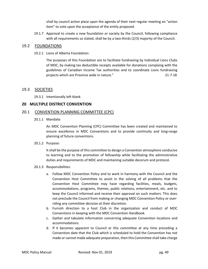shall by council action place upon the agenda of their next regular meeting an "action item" to vote upon the acceptance of the entity proposed.

19.1.7 Approval to create a new foundation or society by the Council, following compliance with all requirements so stated, shall be by a two-thirds (2/3) majority of the Council.

# 19.2 FOUNDATIONS

19.2.1 Lions of Alberta Foundation:

The purposes of this Foundation are to facilitate fundraising by Individual Lions Clubs of MDC, by making tax deductible receipts available for donations complying with the guidelines of Canadian Income Tax authorities and to coordinate Lions fundraising projects which are Province wide in nature." 21-7-18

# 19.3 SOCIETIES

19.3.1 Intentionally left blank

# **20 MULTIPLE DISTRICT CONVENTION**

# 20.1 CONVENTION PLANNING COMMITTEE (CPC)

20.1.1 Mandate:

An MDC Convention Planning (CPC) Committee has been created and maintained to ensure excellence in MDC Conventions and to provide continuity and long-range planning of future conventions.

20.1.2 Purpose:

It shall be the purpose of this committee to design a Convention atmosphere conducive to learning and to the promotion of fellowship while facilitating the administrative duties and requirements of MDC and maintaining suitable decorum and protocol.

- 20.1.3 Responsibilities:
	- a. Follow MDC Convention Policy and to work in harmony with the Council and the Convention Host Committee to assist in the solving of all problems that the Convention Host Committee may have regarding facilities, meals, budgets, accommodations, programs, themes, public relations, entertainment, etc. and to keep the Council informed and receive their approval on such matters. This does not preclude the Council from making or changing MDC Convention Policy or overriding any committee decision at their discretion.
	- b. Furnish direction to a host Club in the organization and conduct of MDC Conventions in keeping with the MDC Convention Handbook.
	- c. Gather and tabulate information concerning adequate Convention locations and accommodations.
	- d. If it becomes apparent to Council or this committee at any time preceding a Convention date that the Club which is scheduled to hold the Convention has not made or cannot made adequate preparation, then this Committee shall take charge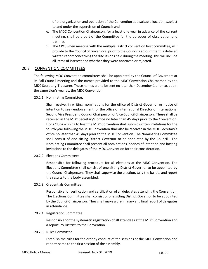of the organization and operation of the Convention at a suitable location, subject to and under the supervision of Council; and

- e. The MDC Convention Chairperson, for a least one year in advance of the current meeting, shall be a part of the Committee for the purposes of observation and training.
- f. The CPC, when meeting with the multiple District convention host committee, will provide to the Council of Governors, prior to the Council's adjournment, a detailed written report concerning the discussions held during the meeting. This will include all items of interest and whether they were approved or rejected.

# 20.2 CONVENTION COMMITTEES

The following MDC Convention committees shall be appointed by the Council of Governors at its Fall Council meeting and the names provided to the MDC Convention Chairperson by the MDC Secretary-Treasurer. These names are to be sent no later than December 1 prior to, but in the same Lion's year as, the MDC Convention.

20.2.1 Nominating Committee:

Shall receive, in writing; nominations for the office of District Governor or notice of intention to seek endorsement for the office of International Director or International Second Vice President, Council Chairperson or Vice Council Chairperson. These shall be received in the MDC Secretary's office no later than 45 days prior to the Convention. Lions Clubs wishing to host the MDC Convention shall submit written invitations for the fourth year following the MDC Convention shall also be received in the MDC Secretary's office no later than 45 days prior to the MDC Convention. The Nominating Committee shall consist of one sitting District Governor to be appointed by the Council. The Nominating Committee shall present all nominations, notices of intention and hosting invitations to the delegates of the MDC Convention for their consideration.

20.2.2 Elections Committee:

Responsible for following procedure for all elections at the MDC Convention. The Elections Committee shall consist of one sitting District Governor to be appointed by the Council Chairperson. They shall supervise the election, tally the ballots and report the results to the body assembled.

20.2.3 Credentials Committee:

Responsible for verification and certification of all delegates attending the Convention. The Elections Committee shall consist of one sitting District Governor to be appointed by the Council Chairperson. They shall make a preliminary and final report of delegates in attendance.

20.2.4 Registration Committee:

Responsible for the systematic registration of all attendees at the MDC Convention and a report, by District, to the Convention.

20.2.5 Rules Committee:

Establish the rules for the orderly conduct of the sessions at the MDC Convention and reports same to the first session of the assembly.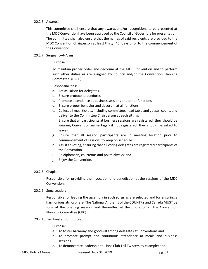## 20.2.6 Awards:

This committee shall ensure that any awards and/or recognitions to be presented at the MDC Convention have been approved by the Council of Governors for presentation. The committee shall also ensure that the names of said recipients are provided to the MDC Convention Chairperson at least thirty (45) days prior to the commencement of the Convention.

## 20.2.7 Sergeant-At-Arms:

i. Purpose:

To maintain proper order and decorum at the MDC Convention and to perform such other duties as are assigned by Council and/or the Convention Planning Committee. (CRPC)

- ii. Responsibilities:
	- a. Act as liaison for delegates.
	- b. Ensure protocol procedures.
	- c. Promote attendance at business sessions and other functions.
	- d. Ensure proper behavior and decorum at all functions.
	- e. Collect all meal tickets, including committee, head table and guests, count, and deliver to the Committee Chairperson at each sitting.
	- f. Ensure that all participants at business sessions are registered (they should be wearing Convention name tags - if not registered, they should be asked to leave).
	- g. Ensure that all session participants are in meeting location prior to commencement of sessions to keep on schedule.
	- h. Assist at voting, ensuring that all voting delegates are registered participants of the Convention.
	- i. Be diplomatic, courteous and polite always; and
	- j. Enjoy the Convention.
- 20.2.8 Chaplain:

Responsible for providing the invocation and benediction at the sessions of the MDC Convention.

20.2.9 Song Leader:

Responsible for leading the assembly in such songs as are selected and for ensuring a harmonious atmosphere. The National Anthems of the COUNTRY and Canada MUST be sung at the opening session, and thereafter, at the discretion of the Convention Planning Committee (CPC).

## 20.2.10 Tail Twister Committee:

- i. Purpose:
	- a. To foster harmony and goodwill among delegates at Conventions and.
	- b. To promote prompt and continuous attendance at meals and business sessions.
	- c. To demonstrate leadership to Lions Club Tail Twisters by example; and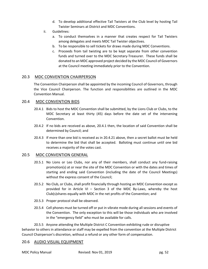- d. To develop additional effective Tail Twisters at the Club level by hosting Tail Twister Seminars at District and MDC Conventions.
- ii. Guidelines:
	- a. To conduct themselves in a manner that creates respect for Tail Twisters among delegates and meets MDC Tail Twister objectives.
	- b. To be responsible to sell tickets for draws made during MDC Conventions.
	- c. Proceeds from tail twisting are to be kept separate from other convention funds and turned over to the MDC Secretary-Treasurer. These funds shall be donated to an MDC approved project decided by the MDC Council of Governors at the Council meeting immediately prior to the Convention.

# 20.3 MDC CONVENTION CHAIRPERSON

The Convention Chairperson shall be appointed by the incoming Council of Governors, through the Vice Council Chairperson. The function and responsibilities are outlined in the MDC Convention Manual.

# 20.4 MDC CONVENTION BIDS

- 20.4.1 Bids to host the MDC Convention shall be submitted, by the Lions Club or Clubs, to the MDC Secretary at least thirty (45) days before the date set of the intervening Convention.
- 20.4.2 If no bids are received as above, 20.4.1 then, the location of said Convention shall be determined by Council; and
- 20.4.3 If more than one bid is received as in 20.4.21 above, then a secret ballot must be held to determine the bid that shall be accepted. Balloting must continue until one bid receives a majority of the votes cast.

# 20.5 MDC CONVENTION GENERAL

- 20.5.1 No Lions or Leo Clubs, nor any of their members, shall conduct any fund-raising promotion(s) at or near the site of the MDC Convention or with the dates and times of starting and ending said Convention (including the date of the Council Meetings) without the express consent of the Council;
- 20.5.2 No Club, or Clubs, shall profit financially through hosting an MDC Convention except as provided for in Article VI – Section 3 of the MDC By-Laws, whereby the host Club(s)shares equally with MDC in the net profits of the Convention; and
- 20.5.3 Proper protocol shall be observed.
- 20.5.4 Cell phones must be turned off or put in vibrate mode during all sessions and events of the Convention. The only exception to this will be those individuals who are involved in the "emergency field" who must be available for calls.

20.5.5 Anyone attending the Multiple District C Convention exhibiting rude or disruptive behavior to others in attendance or staff may be expelled from the convention at the Multiple District Council Chairperson's discretion, without a refund or any other form of compensation.

# 20.6 AUDIO VISUAL EQUIPMENT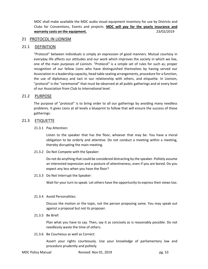MDC shall make available the MDC audio visual equipment inventory for use by Districts and Clubs for Conventions, Events and projects. **MDC will pay for the yearly insurance and warranty costs on the equipment.** 23/02/2019

## 21 PROTOCOL IN LIONISM

## 21.1 DEFINITION

"Protocol" between individuals is simply an expression of good manners. Mutual courtesy in everyday life affects our attitudes and our work which improves the society in which we live, one of the main purposes of Lionism. "Protocol" is a simple set of rules for such as; proper recognition of our fellow Lions who have distinguished themselves by having served our Association in a leadership capacity, head table seating arrangements, procedure for a function, the use of diplomacy and tact in our relationship with others, and etiquette. In Lionism, "protocol" is the "ceremonial" that must be observed at all public gatherings and at every level of our Association from Club to International level.

## 21.2 PURPOSE

The purpose of "protocol" is to bring order to all our gatherings by avoiding many needless problems. It gives Lions at all levels a blueprint to follow that will ensure the success of these gatherings.

## 21.3 ETIQUETTE

#### 21.3.1 Pay Attention:

Listen to the speaker that has the floor, whoever that may be. You have a moral obligation to be orderly and attentive. Do not conduct a meeting within a meeting, thereby disrupting the main meeting.

21.3.2 Do Not Compete with the Speaker:

Do not do anything that could be considered distracting by the speaker. Politely assume an interested expression and a posture of attentiveness, even if you are bored. Do you expect any less when you have the floor?

21.3.3 Do Not Interrupt the Speaker:

Wait for your turn to speak. Let others have the opportunity to express their views too.

#### 21.3.4 Avoid Personalities:

Discuss the motion or the topic, not the person proposing same. You may speak out against a proposal but not its proposer.

21.3.5 Be Brief:

Plan what you have to say. Then, say it as concisely as is reasonably possible. Do not needlessly waste the time of others.

21.3.6 Be Courteous as well as Correct:

Assert your rights courteously. Use your knowledge of parliamentary law and procedure prudently and politely.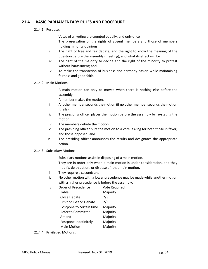# **21.4 BASIC PARLIAMENTARY RULES AND PROCEDURE**

- 21.4.1 Purpose:
	- i. Votes of all voting are counted equally, and only once
	- ii. The preservation of the rights of absent members and those of members holding minority opinions
	- iii. The right of free and fair debate, and the right to know the meaning of the question before the assembly (meeting), and what its effect will be
	- iv. The right of the majority to decide and the right of the minority to protest without harassment; and
	- v. To make the transaction of business and harmony easier, while maintaining fairness and good faith.
- 21.4.2 Main Motions:
	- i. A main motion can only be moved when there is nothing else before the assembly.
	- ii. A member makes the motion.
	- iii. Another member seconds the motion (if no other member seconds the motion it fails).
	- iv. The presiding officer places the motion before the assembly by re-stating the motion.
	- v. The members debate the motion.
	- vi. The presiding officer puts the motion to a vote, asking for both those in favor, and those opposed; and
	- vii. The presiding officer announces the results and designates the appropriate action.
- 21.4.3 Subsidiary Motions:
	- i. Subsidiary motions assist in disposing of a main motion.
	- ii. They are in order only when a main motion is under consideration, and they modify, delay action, or dispose of, that main motion.
	- iii. They require a second; and
	- iv. No other motion with a lower precedence may be made while another motion with a higher precedence is before the assembly.

| V. | Order of Precedence      | Vote Required |
|----|--------------------------|---------------|
|    | Table                    | Majority      |
|    | Close Debate             | 2/3           |
|    | Limit or Extend Debate   | 2/3           |
|    | Postpone to certain time | Majority      |
|    | Refer to Committee       | Majority      |
|    | Amend                    | Majority      |
|    | Postpone Indefinitely    | Majority      |
|    | <b>Main Motion</b>       | Majority      |

21.4.4 Privileged Motions: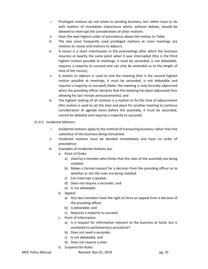- i. Privileged motions do not relate to pending business, but rather have to do with matters of immediate importance which, without debate, should be allowed to interrupt the consideration of other motions.
- ii. Have the next highest order of precedence above the motion to Table.
- iii. The two most frequently used privileged motions at Lions meetings are motions to recess and motions to adjourn.
- iv. A recess is a short intermission in the proceedings after which the business resumes at exactly the same point when it was interrupted (this is the third highest motion possible at meetings, it must be seconded, is not debatable, requires a majority to succeed and can only be amended as to the length of time of the recess);
- v. A motion to adjourn is used to end the meeting (this is the second highest motion possible at meetings, it must be seconded, is not debatable and requires a majority to succeed) (Note: the meeting is only formally adjourned when the presiding officer declares that the meeting has been adjourned thus allowing for last minute announcements); and
- vi. The highest ranking of all motions is a motion to fix the time of adjournment (this motion is used to set the time and place for another meeting to continue consideration of agenda items before the assembly, it must be seconded, cannot be debated and requires a majority to succeed).

# 21.4.5 Incidental Motions:

- i. Incidental motions apply to the method of transacting business rather than the substance of the business being transacted.
- ii. Incidental motions must be decided immediately and have no order of precedence.
- iii. Examples of incidental motions are:
	- a. Point of Order:
		- a) Used by a member who thinks that the rules of the assembly are being violated.
		- b) Makes a formal request for a decision from the presiding officer as to whether or not the rules are being violated.
		- c) Can interrupt a speaker.
		- d) Does not require a seconder; and
		- e) Is not debatable.
	- b. Appeal:
		- a) Any two members have the right to force an appeal from a decision of the presiding officer.
		- b) Is debatable; and
		- c) Requires a majority to succeed.
	- c. Point of Information:
		- a) Is a request for information relevant to the business at hand, but is unrelated to parliamentary procedure?
		- b) Does not need a seconder.
		- c) Is not debatable; and
		- d) Does not require a vote.
	- d. Suspend the Rules: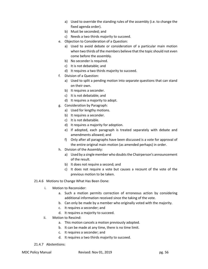- a) Used to override the standing rules of the assembly (i.e. to change the fixed agenda order).
- b) Must be seconded; and
- c) Needs a two thirds majority to succeed.
- e. Objection to Consideration of a Question:
	- a) Used to avoid debate or consideration of a particular main motion when two thirds of the members believe that the topic should not even come before the assembly.
	- b) No seconder is required.
	- c) It is not debatable; and
	- d) It requires a two thirds majority to succeed.
- f. Division of a Question:
	- a) Used to split a pending motion into separate questions that can stand on their own.
	- b) It requires a seconder.
	- c) It is not debatable; and
	- d) It requires a majority to adopt.
- g. Consideration by Paragraph:
	- a) Used for lengthy motions.
	- b) It requires a seconder.
	- c) It is not debatable.
	- d) It requires a majority for adoption.
	- e) If adopted, each paragraph is treated separately with debate and amendments allowed; and
	- f) Only after all paragraphs have been discussed is a vote for approval of the entire original main motion (as amended perhaps) in order.
- h. Division of the Assembly:
	- a) Used by a single member who doubts the Chairperson's announcement of the result.
	- b) It does not require a second; and
	- c) It does not require a vote but causes a recount of the vote of the previous motion to be taken.

## 21.4.6 Motions to Change What Has Been Done:

- i. Motion to Reconsider:
	- a. Such a motion permits correction of erroneous action by considering additional information received since the taking of the vote.
	- b. Can only be made by a member who originally voted with the majority.
	- c. It requires a seconder; and
	- d. It requires a majority to succeed.
- ii. Motion to Rescind:
	- a. This motion cancels a motion previously adopted.
	- b. It can be made at any time, there is no time limit.
	- c. It requires a seconder; and
	- d. It requires a two thirds majority to succeed.

## 21.4.7 Abstentions: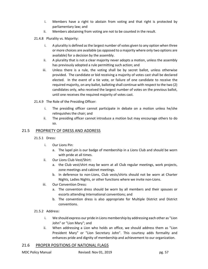- i. Members have a right to abstain from voting and that right is protected by parliamentary law; and
- ii. Members abstaining from voting are not to be counted in the result.
- 21.4.8 Plurality vs. Majority:
	- i. A plurality is defined as the largest number of votes given to any option when three or more choices are available (as opposed to a majority where only two options are available) for a decision by the assembly.
	- ii. A plurality that is not a clear majority never adopts a motion, unless the assembly has previously adopted a rule permitting such action; and
	- iii. Unless there is a rule, the voting shall be by secret ballot, unless otherwise provided. The candidate or bid receiving a majority of votes cast shall be declared elected. In the event of a tie vote, or failure of one candidate to receive the required majority, on any ballot, balloting shall continue with respect to the two (2) candidates only, who received the largest number of votes on the previous ballot, until one receives the required majority of votes cast.
- 21.4.9 The Role of the Presiding Officer:
	- i. The presiding officer cannot participate in debate on a motion unless he/she relinquishes the chair; and
	- ii. The presiding officer cannot introduce a motion but may encourage others to do so.

# 21.5 PROPRIETY OF DRESS AND ADDRESS

- 21.5.1 Dress:
	- i. Our Lions Pin:
		- a. The lapel pin is our badge of membership in a Lions Club and should be worn with pride at all times.
	- ii. Our Lions Club Vest/Shirt:
		- a. the Club vest/shirt may be worn at all Club regular meetings, work projects, zone meetings and cabinet meetings.
		- b. In deference to non-Lions, Club vests/shirts should not be worn at Charter Nights, Ladies Nights, or other functions where we invite non-Lions.
	- iii. Our Convention Dress:
		- a. The convention dress should be worn by all members and their spouses or escorts attending International conventions; and
		- b. The convention dress is also appropriate for Multiple District and District conventions.

# 21.5.2 Address:

- i. We should express our pride in Lions membership by addressing each other as "Lion John" or "Lion Mary"; and
- ii. When addressing a Lion who holds an office, we should address them as "Lion President Mary" or "Lion Secretary John". This courtesy adds formality and enhances pride and dignity of membership and achievement to our organization.

# 21.6 PROPER POSITIONS OF NATIONAL FLAGS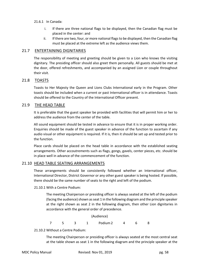- 21.6.1 In Canada:
	- i. If there are three national flags to be displayed, then the Canadian flag must be placed in the center: and
	- ii. If there are two, four, or more national flags to be displayed, then the Canadian flag must be placed at the extreme left as the audience views them.

# 21.7 ENTERTAINING DIGNITARIES

The responsibility of meeting and greeting should be given to a Lion who knows the visiting dignitary. The presiding officer should also greet them personally. All guests should be met at the door, offered refreshments, and accompanied by an assigned Lion or couple throughout their visit.

# 21.8 TOASTS

Toasts to Her Majesty the Queen and Lions Clubs International early in the Program. Other toasts should be included when a current or past International officer is in attendance. Toasts should be offered to the Country of the International Officer present.

# 21.9 THE HEAD TABLE

It is preferable that the guest speaker be provided with facilities that will permit him or her to address the audience from the center of the table.

All sound equipment should be tested in advance to ensure that it is in proper working order. Enquiries should be made of the guest speaker in advance of the function to ascertain if any audio visual or other equipment is required. If it is, then it should be set up and tested prior to the function.

Place cards should be placed on the head table in accordance with the established seating arrangements. Other accoutrements such as flags, gongs, gavels, center pieces, etc. should be in place well in advance of the commencement of the function.

# 21.10 HEAD TABLE SEATING ARRANGEMENTS

These arrangements should be consistently followed whether an International officer, International Director, District Governor or any other guest speaker is being hosted. If possible, there should be the same number of seats to the right and left of the podium.

# 21.10.1 With a Centre Podium:

The meeting Chairperson or presiding officer is always seated at the left of the podium (facing the audience) shown as seat 1 in the following diagram and the principle speaker at the right shown as seat 2 in the following diagram, then other Lion dignitaries in accordance with the general order of precedence.

(Audience) 7 5 3 1 Podium2 4 6 8

21.10.2 Without a Centre Podium:

The meeting Chairperson or presiding officer is always seated at the most central seat at the table shown as seat 1 in the following diagram and the principle speaker at the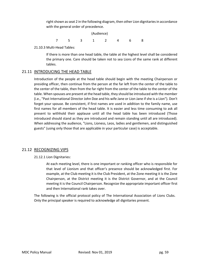right shown as seat 2 in the following diagram, then other Lion dignitaries in accordance with the general order of precedence.

| (Audience) |  |  |  |  |  |  |  |
|------------|--|--|--|--|--|--|--|
|            |  |  |  |  |  |  |  |

21.10.3 Multi-Head Tables:

If there is more than one head table, the table at the highest level shall be considered the primary one. Care should be taken not to sea Lions of the same rank at different tables.

# 21.11 INTRODUCING THE HEAD TABLE

Introduction of the people at the head table should begin with the meeting Chairperson or presiding officer, then continue from the person at the far left from the center of the table to the center of the table, then from the far right from the center of the table to the center of the table. When spouses are present at the head table, they should be introduced with the member (i.e., "Past International Director John Doe and his wife Jane or Lion Jane if she is a Lion"). Don't forget your spouse. Be consistent, if first names are used in addition to the family name, use first names for all members of the head table. It is easier and less time consuming to ask all present to withhold their applause until all the head table has been introduced (Those introduced should stand as they are introduced and remain standing until all are introduced). When addressing the audience, "Lions, Lioness, Leos, ladies and gentlemen, and distinguished guests" (using only those that are applicable in your particular case) is acceptable.

# 21.12 RECOGNIZING VIPS

21.12.1 Lion Dignitaries:

At each meeting level, there is one important or ranking officer who is responsible for that level of Lionism and that officer's presence should be acknowledged first. For example, at the Club meeting it is the Club President, at the Zone meeting it is the Zone Chairperson, at the District meeting it is the District Governor, and at the Council meeting it is the Council Chairperson. Recognize the appropriate important officer first and then International rank takes over.

The following is the official protocol policy of The International Association of Lions Clubs. Only the principal speaker is required to acknowledge all dignitaries present.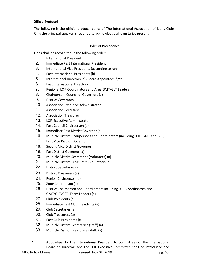# **OfficialProtocol**

The following is the official protocol policy of The International Association of Lions Clubs. Only the principal speaker is required to acknowledge all dignitaries present.

# Order of Precedence

Lions shall be recognized in the following order:

- 1. International President
- 2. Immediate Past International President
- 3. International Vice Presidents (according to rank)
- 4. Past International Presidents (b)
- 5. International Directors (a) (Board Appointees)\*/\*\*
- 6. Past International Directors (c)
- 7. Regional LCIF Coordinators and Area GMT/GLT Leaders
- 8. Chairperson, Council of Governors (a)
- 9. District Governors
- 10. Association Executive Administrator
- 11. Association Secretary
- 12. Association Treasurer
- 13. LCIF Executive Administrator
- 14. Past Council Chairperson (a)
- 15. Immediate Past District Governor (a)
- 16. Multiple District Chairpersons and Coordinators (including LCIF, GMT and GLT)
- 17. First Vice District Governor
- 18. Second Vice District Governor
- 19. Past District Governor (a)
- 20. Multiple District Secretaries (Volunteer) (a)
- 21. Multiple District Treasurers (Volunteer) (a)
- 22. District Secretaries (a)
- 23. District Treasurers (a)
- 24. Region Chairperson (a)
- 25. Zone Chairperson (a)
- 26. District Chairperson and Coordinators including LCIF Coordinators and GMT/GLT/GST Team Leaders (a)
- 27. Club Presidents (a)
- 28. Immediate Past Club Presidents (a)
- 29. Club Secretaries (a)
- 30. Club Treasurers (a)
- 31. Past Club Presidents (c)
- 32. Multiple District Secretaries (staff) (a)
- 33. Multiple District Treasurers (staff) (a)
- \* Appointees by the International President to committees of the International Board of Directors and the LCIF Executive Committee shall be introduced and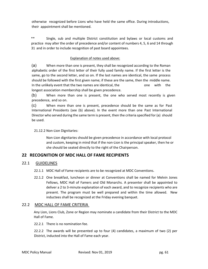otherwise recognized before Lions who have held the same office. During introductions, their appointment shall be mentioned.

\*\* Single, sub and multiple District constitution and bylaws or local customs and practice may alter the order of precedence and/or content of numbers 4, 5, 6 and 14 through 31 and in order to include recognition of past board appointees.

## Explanation of notes used above:

(a) When more than one is present, they shall be recognized according to the Roman alphabetic order of the first letter of their fully used family name. If the first letter is the same, go to the second letter, and so on. If the last names are identical, the same process should be followed with the first given name; if these are the same, then the middle name. In the unlikely event that the two names are identical, the one with the longest association membership shall be given precedence.

(b) When more than one is present, the one who served most recently is given precedence, and so on.

(c) When more than one is present, precedence should be the same as for Past International Presidents (see (b) above). In the event more than one Past International Director who served during the same term is present, then the criteria specified for (a) should be used.

## 21.12.2 Non-Lion Dignitaries:

Non-Lion dignitaries should be given precedence in accordance with local protocol and custom, keeping in mind that if the non-Lion is the principal speaker, then he or she should be seated directly to the right of the Chairperson.

# **22 RECOGNITION OF MDC HALL OF FAME RECIPIENTS**

# 22.1 GUIDELINES

- 22.1.1 MDC Hall of Fame recipients are to be recognized at MDC Conventions.
- 22.1.2 One breakfast, luncheon or dinner at Conventions shall be named for Melvin Jones Fellows, MDC Hall of Famers and Old Monarchs. A presenter shall be appointed to deliver a 2 to 3-minute explanation of each award, and to recognize recipients who are present. The program must be well prepared and within the time allowed. New inductees shall be recognized at the Friday evening banquet.

# 22.2 MDC HALL OF FAME CRITERIA

Any Lion, Lions Club, Zone or Region may nominate a candidate from their District to the MDC Hall of Fame.

22.2.1 There is no nomination fee.

22.2.2 The awards will be presented up to four (4) candidates, a maximum of two (2) per District, inducted into the Hall of Fame each year.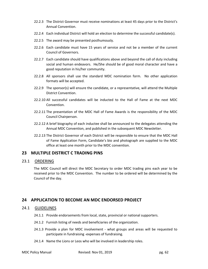- 22.2.3 The District Governor must receive nominations at least 45 days prior to the District's Annual Convention.
- 22.2.4 Each individual District will hold an election to determine the successful candidate(s).
- 22.2.5 The award may be presented posthumously.
- 22.2.6 Each candidate must have 15 years of service and not be a member of the current Council of Governors.
- 22.2.7 Each candidate should have qualifications above and beyond the call of duty including social and human endeavors. He/She should be of good moral character and have a good reputation in his/her community.
- 22.2.8 All sponsors shall use the standard MDC nomination form. No other application formats will be accepted.
- 22.2.9 The sponsor(s) will ensure the candidate, or a representative, will attend the Multiple District Convention.
- 22.2.10 All successful candidates will be inducted to the Hall of Fame at the next MDC Convention.
- 22.2.11 The presentation of the MDC Hall of Fame Awards is the responsibility of the MDC Council Chairperson.
- 22.2.12 A brief biography of each inductee shall be announced to the delegates attending the Annual MDC Convention, and published in the subsequent MDC Newsletter.
- 22.2.13 The District Governor of each District will be responsible to ensure that the MDC Hall of Fame Application Form, Candidate's bio and photograph are supplied to the MDC office at least one month prior to the MDC convention.

# **23 MULTIPLE DISTRICT C TRADING PINS**

## 23.1 ORDERING

The MDC Council will direct the MDC Secretary to order MDC trading pins each year to be received prior to the MDC Convention. The number to be ordered will be determined by the Council of the day.

# **24 APPLICATION TO BECOME AN MDC ENDORSED PROJECT**

## 24.1 GUIDELINES

- 24.1.1 Provide endorsements from local, state, provincial or national supporters.
- 24.1.2 Furnish listing of needs and beneficiaries of the organization.
- 24.1.3 Provide a plan for MDC involvement what groups and areas will be requested to participate in fundraising -expenses of fundraising.
- 24.1.4 Name the Lions or Leos who will be involved in leadership roles.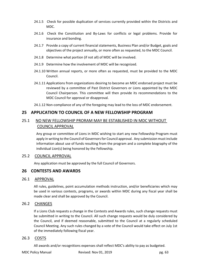- 24.1.5 Check for possible duplication of services currently provided within the Districts and MDC.
- 24.1.6 Check the Constitution and By-Laws for conflicts or legal problems. Provide for insurance and bonding.
- 24.1.7 Provide a copy of current financial statements, Business Plan and/or Budget, goals and objectives of the project annually, or more often as requested, to the MDC Council.
- 24.1.8 Determine what portion (if not all) of MDC will be involved.
- 24.1.9 Determine how the involvement of MDC will be recognized.
- 24.1.10 Written annual reports, or more often as requested, must be provided to the MDC Council.
- 24.1.11 Applications from organizations desiring to become an MDC endorsed project must be reviewed by a committee of Past District Governors or Lions appointed by the MDC Council Chairperson. This committee will then provide its recommendations to the MDC Council for approval or disapproval.
- 24.1.12 Non-compliance of any of the foregoing may lead to the loss of MDC endorsement.

# **25 APPLICATION TO COUNCIL OF A NEW FELLOWSHIP PROGRAM**

# 25.1 NO NEW FELLOWSHIP PRORAM MAY BE ESTABLISHED IN MDC WITHOUT COUNCIL APPROVAL

Any group or committee of Lions in MDC wishing to start any new Fellowship Program must apply in writing to the Council of Governors for Council approval. Any submission must include information about use of funds resulting from the program and a complete biography of the individual Lion(s) being honored by the Fellowship.

# 25.2 COUNCIL APPROVAL

Any application must be approved by the full Council of Governors.

# **26 CONTESTS AND AWARDS**

# 26.1 APPROVAL

All rules, guidelines, point accumulation methods instruction, and/or beneficiaries which may be used in various contests, programs, or awards within MDC during any fiscal year shall be made clear and shall be approved by the Council.

# 26.2 CHANGES

If a Lions Club requests a change in the Contests and Awards rules, such change requests must be submitted in writing to the Council. All such change requests would be duly considered by the Council, and if deemed reasonable, submitted to the Council at a regularly scheduled Council Meeting. Any such rules changed by a vote of the Council would take effect on July 1st of the immediately following fiscal year.

# 26.3 COSTS

All awards and/or recognitions expenses shall reflect MDC's ability to pay as budgeted.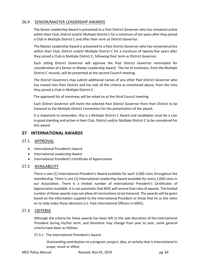# 26.4 SENIOR/MASTER LEADERSHIP AWARDS

The Senior Leadership Award is presented to a Past District Governor who has remained active within their Club, District and/or Multiple District C for a minimum of ten years after they joined a Club in Multiple District C and after their term as District Governor.

The Master Leadership Award is presented to a Past District Governor who has remained active within their Club, District and/or Multiple District C for a minimum of twenty-five years after they joined a Club in Multiple District C, following their term as District Governor.

Each sitting District Governor will approve the Past District Governor nominated for consideration of a Senior or Master Leadership Award. The list of nominees, from the Multiple District C records, will be presented at the second Council meeting.

The District Governors may submit additional names of any other Past District Governor who has moved into their District and has met all the criteria as mentioned above, from the time they joined a Club in Multiple District C.

The approved list of nominees will be voted on at the third Council meeting.

Each District Governor will invite the selected Past District Governor from their District to be honored to the Multiple District Convention for the presentation of the award.

It is important to remember, this is a Multiple District C Award and candidates must be a Lion in good standing and active in their Club, District and/or Multiple District C to be considered for this award.

# **27 INTERNATIONAL AWARDS**

# 27.1 APPROVAL

- International President's Award
- International Leadership Award
- International President's Certificate of Appreciation

# 27.2 AVAILABILITY

There is one (1) International President's Award available for each 3,500 Lions throughout the membership. There is one (1) International Leadership Award available for every 2,000 Lions in our Association. There is a limited number of International President's Certificates of Appreciation available. It is not automatic that MDC will receive that ratio of awards. The limited number of these awards may not allow all nominations to be honored. The awards will be given based on the information supplied to the International President or those that he or she relies on to help make those decisions (i.e. Past International Officers in MDC).

# 27.3 CRITERIA

Although the criteria for these awards has been left to the sole discretion of the International President during his/her term, and therefore may change from year to year, some general criteria have been as follows:

27.3.1 The International President's Award:

Outstanding contribution to a program, project, idea, or activity that is International in scope, result or effect.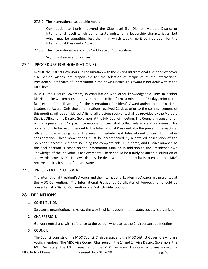27.3.2 The International Leadership Award:

Contribution to Lionism beyond the Club level (i.e. District, Multiple District or International level) which demonstrate outstanding leadership characteristics, but which may be something less than that which would merit consideration for the International President's Award.

27.3.3 The International President's Certificate of Appreciation:

Significant service to Lionism.

# 27.4 PROCEDURE FOR NOMINATION(S)

In MDC the District Governors, in consultation with the visiting International guest and whoever else he/she wishes, are responsible for the selection of recipients of the International President's Certificates of Appreciation in their own District. This award is not dealt with at the MDC level.

In MDC the District Governors, in consultation with other knowledgeable Lions in his/her District, make written nominations on the prescribed forms a minimum of 21 days prior to the fall (second) Council Meeting for the International President's Award and/or the International Leadership Award. Only those nominations received 21 days prior to the commencement of this meeting will be considered. A list of all previous recipients shall be provided by the Multiple District Office to the District Governors at the July Council meeting. The Council, in consultation with any present and/or past International officers, shall collectively arrive at a consensus for nominations to be recommended to the International President, (by the present International officer or, there being none, the most immediate past International officer), for his/her consideration. These nominations must be accompanied by a detailed description of the nominee's accomplishments including the complete title, Club name, and District number, as the final decision is based on the information supplied in addition to the President's own knowledge of the individual's achievements. There should be a fairly balanced distribution of all awards across MDC. The awards must be dealt with on a timely basis to ensure that MDC receives their fair share of these awards.

# 27.5 PRESENTATION OF AWARDS

The International President's Awards and the International Leadership Awards are presented at the MDC Convention. The International President's Certificates of Appreciation should be presented at a District Convention or a District-wide function.

# **28 DEFINITIONS**

1. CONSTITUTION:

Structure, organization, make-up, the way in which a government, state, society is organized.

2. CHAIRPERSON:

Gender neutral and with reference to the person who acts as the Chairperson at a meeting.

3. COUNCIL

The Council consists of the MDC Council Chairperson, and the MDC District Governors who are voting members. The MDC Vice Council Chairperson, the 1<sup>st</sup> and 2<sup>nd</sup> Vice District Governors, the

MDC Policy Manual **Revised: Nov 01, 2019 pg. 65 pg. 65** MDC Secretary, the MDC Treasurer or the MDC Secretary Treasurer who are non-voting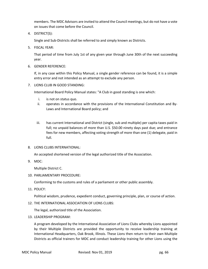members. The MDC Advisors are invited to attend the Council meetings, but do not have a vote on issues that come before the Council.

4. DISTRICT(S):

Single and Sub-Districts shall be referred to and simply known as Districts.

5. FISCAL YEAR:

That period of time from July 1st of any given year through June 30th of the next succeeding year.

6. GENDER REFERENCE:

If, in any case within this Policy Manual, a single gender reference can be found, it is a simple entry error and not intended as an attempt to exclude any person.

7. LIONS CLUB IN GOOD STANDING:

International Board Policy Manual states: "A Club in good standing is one which:

- i. is not on status quo.
- ii. operates in accordance with the provisions of the International Constitution and By-Laws and International Board policy; and
- iii. has current International and District (single, sub and multiple) per capita taxes paid in full; no unpaid balances of more than U.S. \$50.00 ninety days past due; and entrance fees for new members, affecting voting strength of more than one (1) delegate, paid in full.
- 8. LIONS CLUBS INTERNATIONAL:

An accepted shortened version of the legal authorized title of the Association.

9. MDC:

Multiple District C.

10. PARLIAMENTARY PROCEDURE:

Conforming to the customs and rules of a parliament or other public assembly.

11. POLICY:

Political wisdom, prudence, expedient conduct, governing principle, plan, or course of action.

12. THE INTERNATIONAL ASSOCIATION OF LIONS CLUBS:

The legal, authorized title of the Association.

13. LEADERSHIP PROGRAM:

A program developed by the International Association of Lions Clubs whereby Lions appointed by their Multiple Districts are provided the opportunity to receive leadership training at International Headquarters, Oak Brook, Illinois. These Lions then return to their own Multiple Districts as official trainers for MDC and conduct leadership training for other Lions using the